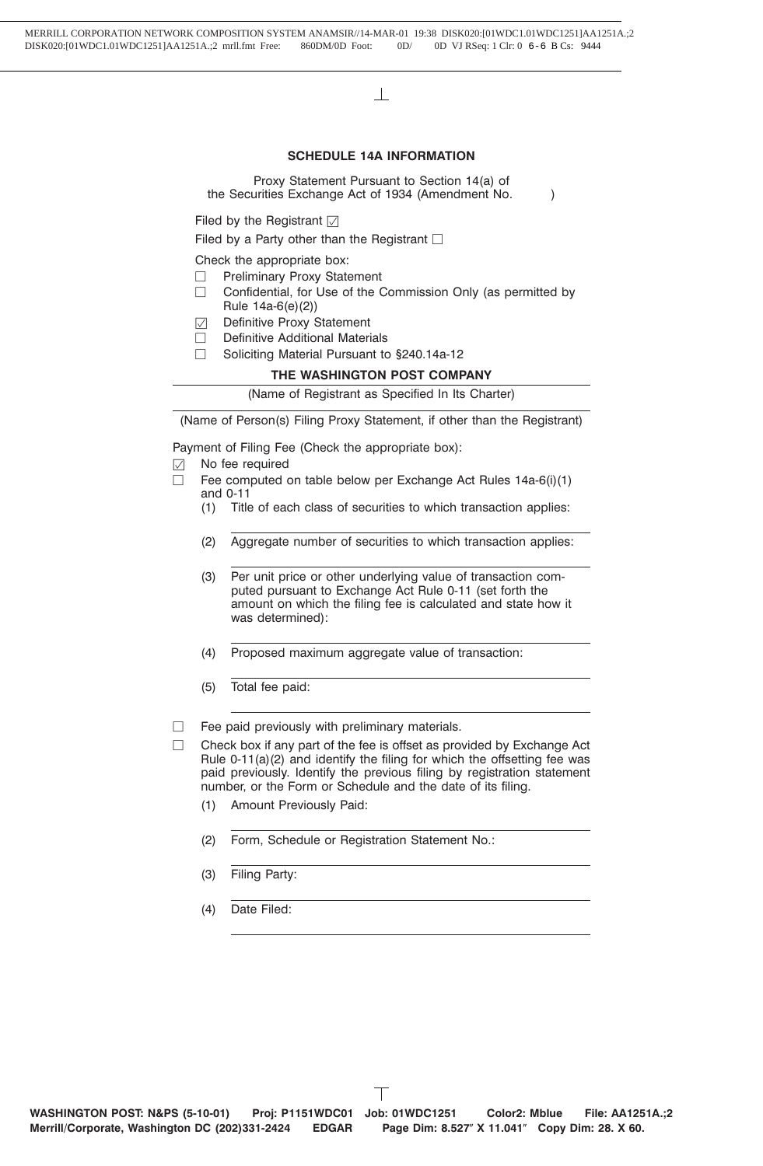$\mathbb{R}$ 

# **SCHEDULE 14A INFORMATION**

Proxy Statement Pursuant to Section 14(a) of the Securities Exchange Act of 1934 (Amendment No. )

Filed by the Registrant  $\triangledown$ 

Filed by a Party other than the Registrant  $\Box$ 

Check the appropriate box:

- $\Box$  Preliminary Proxy Statement
- $\Box$  Confidential, for Use of the Commission Only (as permitted by Rule 14a-6(e)(2))
- $\triangledown$  Definitive Proxy Statement
- $\Box$  Definitive Additional Materials
- □ Soliciting Material Pursuant to §240.14a-12

# **THE WASHINGTON POST COMPANY**

(Name of Registrant as Specified In Its Charter)

(Name of Person(s) Filing Proxy Statement, if other than the Registrant)

Payment of Filing Fee (Check the appropriate box):

- $\oslash$  No fee required
- $\Box$  Fee computed on table below per Exchange Act Rules 14a-6(i)(1) and 0-11
	- (1) Title of each class of securities to which transaction applies:
	- (2) Aggregate number of securities to which transaction applies:
	- (3) Per unit price or other underlying value of transaction computed pursuant to Exchange Act Rule 0-11 (set forth the amount on which the filing fee is calculated and state how it was determined):
	- (4) Proposed maximum aggregate value of transaction:
	- (5) Total fee paid:

 $\Box$  Fee paid previously with preliminary materials.

- $\Box$  Check box if any part of the fee is offset as provided by Exchange Act Rule 0-11(a)(2) and identify the filing for which the offsetting fee was paid previously. Identify the previous filing by registration statement number, or the Form or Schedule and the date of its filing.
	- (1) Amount Previously Paid:
	- (2) Form, Schedule or Registration Statement No.:
	- (3) Filing Party:
	- (4) Date Filed: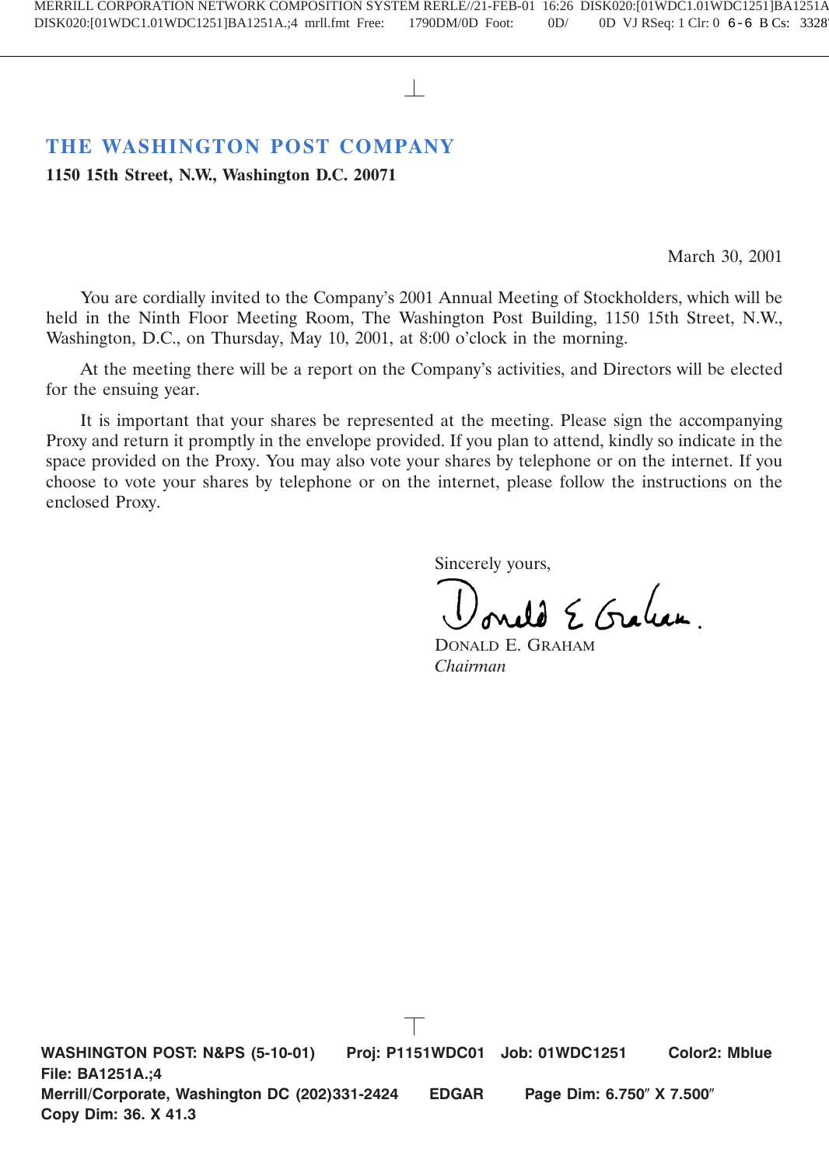# **THE WASHINGTON POST COMPANY**

**1150 15th Street, N.W., Washington D.C. 20071**

March 30, 2001

You are cordially invited to the Company's 2001 Annual Meeting of Stockholders, which will be held in the Ninth Floor Meeting Room, The Washington Post Building, 1150 15th Street, N.W., Washington, D.C., on Thursday, May 10, 2001, at 8:00 o'clock in the morning.

At the meeting there will be a report on the Company's activities, and Directors will be elected for the ensuing year.

It is important that your shares be represented at the meeting. Please sign the accompanying Proxy and return it promptly in the envelope provided. If you plan to attend, kindly so indicate in the space provided on the Proxy. You may also vote your shares by telephone or on the internet. If you choose to vote your shares by telephone or on the internet, please follow the instructions on the enclosed Proxy.

Sincerely yours,

5. Graham

DONALD E. GRAHAM *Chairman*

**WASHINGTON POST: N&PS (5-10-01) Proj: P1151WDC01 Job: 01WDC1251 Color2: Mblue File: BA1251A.;4 Merrill/Corporate, Washington DC (202)331-2424 EDGAR Page Dim: 6.750" X 7.500" Copy Dim: 36. X 41.3**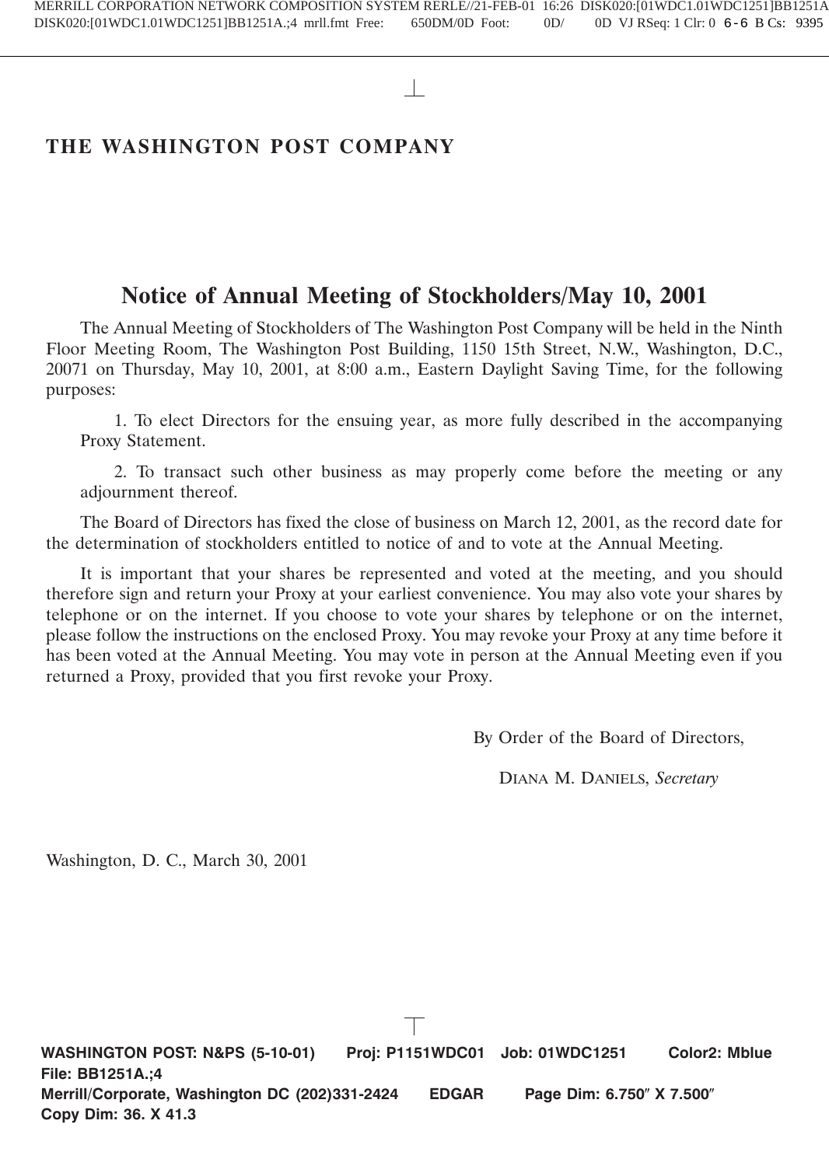# **THE WASHINGTON POST COMPANY**

# **Notice of Annual Meeting of Stockholders/May 10, 2001**

The Annual Meeting of Stockholders of The Washington Post Company will be held in the Ninth Floor Meeting Room, The Washington Post Building, 1150 15th Street, N.W., Washington, D.C., 20071 on Thursday, May 10, 2001, at 8:00 a.m., Eastern Daylight Saving Time, for the following purposes:

1. To elect Directors for the ensuing year, as more fully described in the accompanying Proxy Statement.

2. To transact such other business as may properly come before the meeting or any adjournment thereof.

The Board of Directors has fixed the close of business on March 12, 2001, as the record date for the determination of stockholders entitled to notice of and to vote at the Annual Meeting.

It is important that your shares be represented and voted at the meeting, and you should therefore sign and return your Proxy at your earliest convenience. You may also vote your shares by telephone or on the internet. If you choose to vote your shares by telephone or on the internet, please follow the instructions on the enclosed Proxy. You may revoke your Proxy at any time before it has been voted at the Annual Meeting. You may vote in person at the Annual Meeting even if you returned a Proxy, provided that you first revoke your Proxy.

By Order of the Board of Directors,

DIANA M. DANIELS, *Secretary*

Washington, D. C., March 30, 2001

**WASHINGTON POST: N&PS (5-10-01) Proj: P1151WDC01 Job: 01WDC1251 Color2: Mblue File: BB1251A.;4 Merrill/Corporate, Washington DC (202)331-2424 EDGAR Page Dim: 6.750" X 7.500" Copy Dim: 36. X 41.3**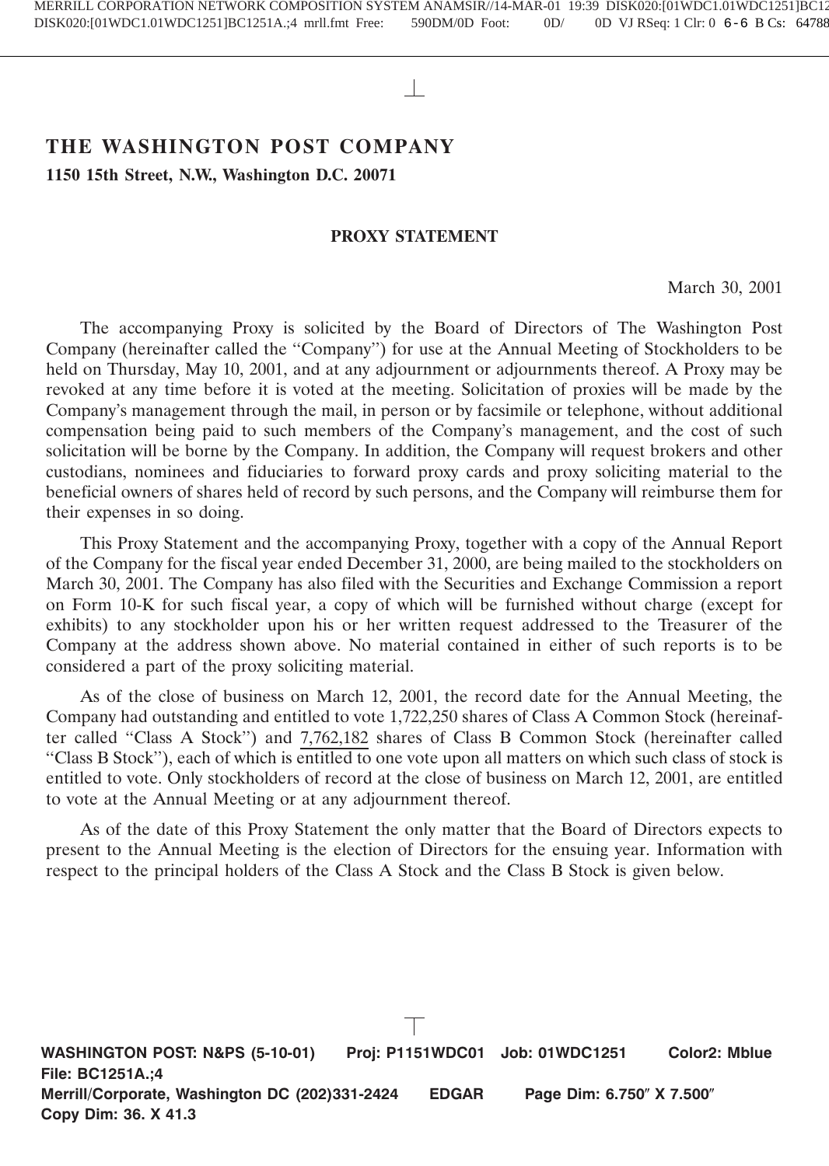# **THE WASHINGTON POST COMPANY**

**1150 15th Street, N.W., Washington D.C. 20071**

# **PROXY STATEMENT**

March 30, 2001

The accompanying Proxy is solicited by the Board of Directors of The Washington Post Company (hereinafter called the ''Company'') for use at the Annual Meeting of Stockholders to be held on Thursday, May 10, 2001, and at any adjournment or adjournments thereof. A Proxy may be revoked at any time before it is voted at the meeting. Solicitation of proxies will be made by the Company's management through the mail, in person or by facsimile or telephone, without additional compensation being paid to such members of the Company's management, and the cost of such solicitation will be borne by the Company. In addition, the Company will request brokers and other custodians, nominees and fiduciaries to forward proxy cards and proxy soliciting material to the beneficial owners of shares held of record by such persons, and the Company will reimburse them for their expenses in so doing.

This Proxy Statement and the accompanying Proxy, together with a copy of the Annual Report of the Company for the fiscal year ended December 31, 2000, are being mailed to the stockholders on March 30, 2001. The Company has also filed with the Securities and Exchange Commission a report on Form 10-K for such fiscal year, a copy of which will be furnished without charge (except for exhibits) to any stockholder upon his or her written request addressed to the Treasurer of the Company at the address shown above. No material contained in either of such reports is to be considered a part of the proxy soliciting material.

As of the close of business on March 12, 2001, the record date for the Annual Meeting, the Company had outstanding and entitled to vote 1,722,250 shares of Class A Common Stock (hereinafter called ''Class A Stock'') and 7,762,182 shares of Class B Common Stock (hereinafter called ''Class B Stock''), each of which is entitled to one vote upon all matters on which such class of stock is entitled to vote. Only stockholders of record at the close of business on March 12, 2001, are entitled to vote at the Annual Meeting or at any adjournment thereof.

As of the date of this Proxy Statement the only matter that the Board of Directors expects to present to the Annual Meeting is the election of Directors for the ensuing year. Information with respect to the principal holders of the Class A Stock and the Class B Stock is given below.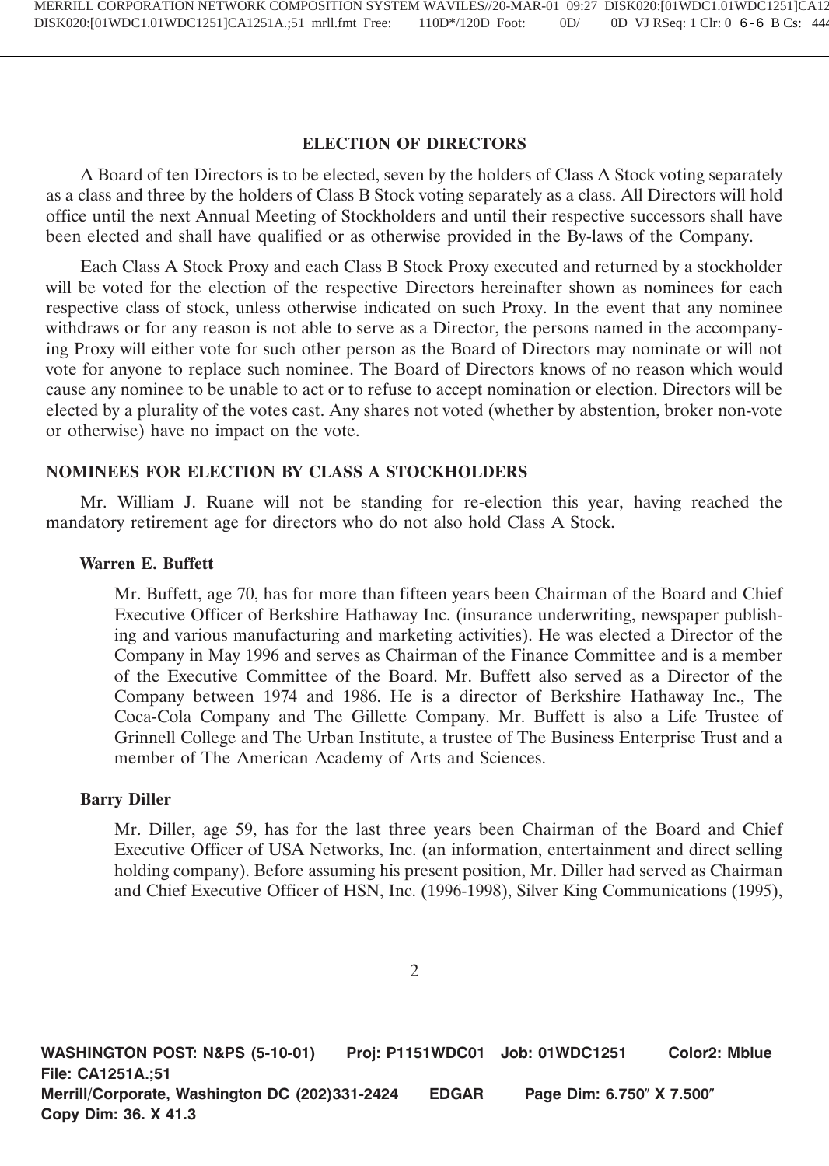# **ELECTION OF DIRECTORS**

A Board of ten Directors is to be elected, seven by the holders of Class A Stock voting separately as a class and three by the holders of Class B Stock voting separately as a class. All Directors will hold office until the next Annual Meeting of Stockholders and until their respective successors shall have been elected and shall have qualified or as otherwise provided in the By-laws of the Company.

Each Class A Stock Proxy and each Class B Stock Proxy executed and returned by a stockholder will be voted for the election of the respective Directors hereinafter shown as nominees for each respective class of stock, unless otherwise indicated on such Proxy. In the event that any nominee withdraws or for any reason is not able to serve as a Director, the persons named in the accompanying Proxy will either vote for such other person as the Board of Directors may nominate or will not vote for anyone to replace such nominee. The Board of Directors knows of no reason which would cause any nominee to be unable to act or to refuse to accept nomination or election. Directors will be elected by a plurality of the votes cast. Any shares not voted (whether by abstention, broker non-vote or otherwise) have no impact on the vote.

# **NOMINEES FOR ELECTION BY CLASS A STOCKHOLDERS**

Mr. William J. Ruane will not be standing for re-election this year, having reached the mandatory retirement age for directors who do not also hold Class A Stock.

# **Warren E. Buffett**

Mr. Buffett, age 70, has for more than fifteen years been Chairman of the Board and Chief Executive Officer of Berkshire Hathaway Inc. (insurance underwriting, newspaper publishing and various manufacturing and marketing activities). He was elected a Director of the Company in May 1996 and serves as Chairman of the Finance Committee and is a member of the Executive Committee of the Board. Mr. Buffett also served as a Director of the Company between 1974 and 1986. He is a director of Berkshire Hathaway Inc., The Coca-Cola Company and The Gillette Company. Mr. Buffett is also a Life Trustee of Grinnell College and The Urban Institute, a trustee of The Business Enterprise Trust and a member of The American Academy of Arts and Sciences.

# **Barry Diller**

Mr. Diller, age 59, has for the last three years been Chairman of the Board and Chief Executive Officer of USA Networks, Inc. (an information, entertainment and direct selling holding company). Before assuming his present position, Mr. Diller had served as Chairman and Chief Executive Officer of HSN, Inc. (1996-1998), Silver King Communications (1995),

**WASHINGTON POST: N&PS (5-10-01) Proj: P1151WDC01 Job: 01WDC1251 Color2: Mblue File: CA1251A.;51 Merrill/Corporate, Washington DC (202)331-2424 EDGAR Page Dim: 6.750" X 7.500" Copy Dim: 36. X 41.3**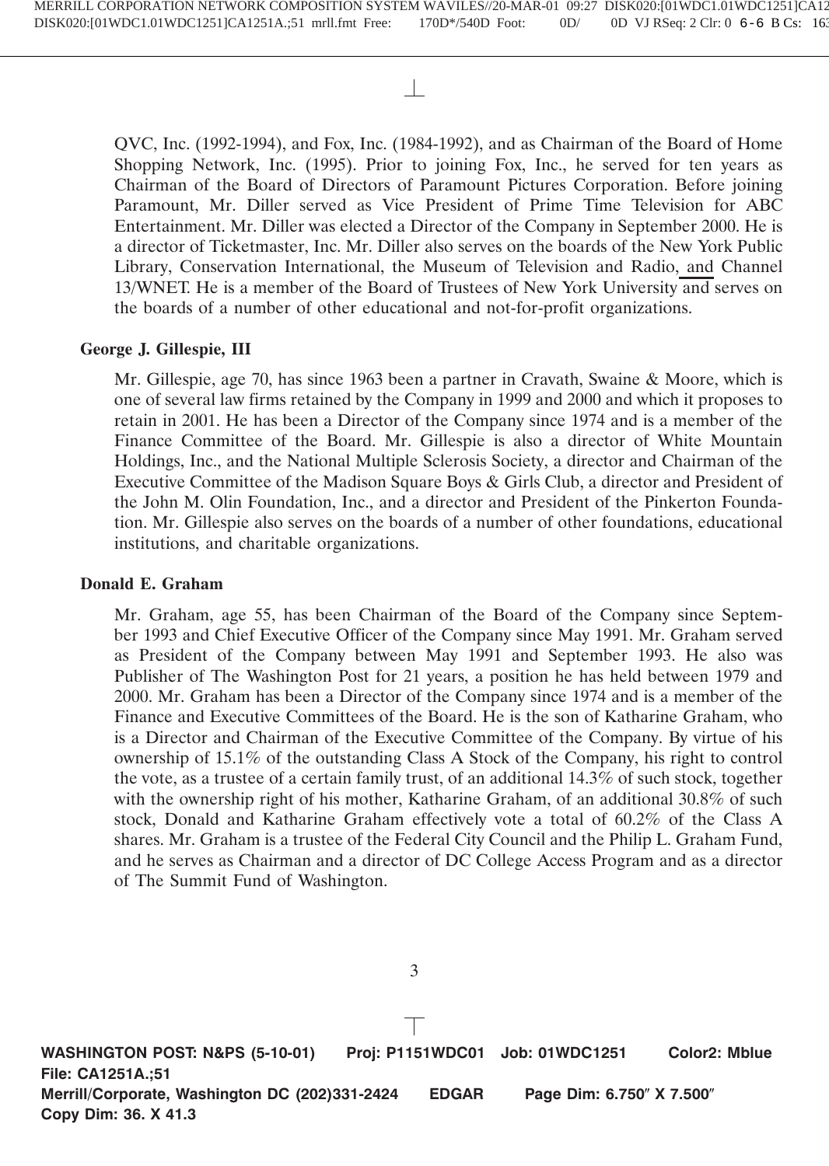QVC, Inc. (1992-1994), and Fox, Inc. (1984-1992), and as Chairman of the Board of Home Shopping Network, Inc. (1995). Prior to joining Fox, Inc., he served for ten years as Chairman of the Board of Directors of Paramount Pictures Corporation. Before joining Paramount, Mr. Diller served as Vice President of Prime Time Television for ABC Entertainment. Mr. Diller was elected a Director of the Company in September 2000. He is a director of Ticketmaster, Inc. Mr. Diller also serves on the boards of the New York Public Library, Conservation International, the Museum of Television and Radio, and Channel 13/WNET. He is a member of the Board of Trustees of New York University and serves on the boards of a number of other educational and not-for-profit organizations.

# **George J. Gillespie, III**

Mr. Gillespie, age 70, has since 1963 been a partner in Cravath, Swaine & Moore, which is one of several law firms retained by the Company in 1999 and 2000 and which it proposes to retain in 2001. He has been a Director of the Company since 1974 and is a member of the Finance Committee of the Board. Mr. Gillespie is also a director of White Mountain Holdings, Inc., and the National Multiple Sclerosis Society, a director and Chairman of the Executive Committee of the Madison Square Boys & Girls Club, a director and President of the John M. Olin Foundation, Inc., and a director and President of the Pinkerton Foundation. Mr. Gillespie also serves on the boards of a number of other foundations, educational institutions, and charitable organizations.

# **Donald E. Graham**

Mr. Graham, age 55, has been Chairman of the Board of the Company since September 1993 and Chief Executive Officer of the Company since May 1991. Mr. Graham served as President of the Company between May 1991 and September 1993. He also was Publisher of The Washington Post for 21 years, a position he has held between 1979 and 2000. Mr. Graham has been a Director of the Company since 1974 and is a member of the Finance and Executive Committees of the Board. He is the son of Katharine Graham, who is a Director and Chairman of the Executive Committee of the Company. By virtue of his ownership of 15.1% of the outstanding Class A Stock of the Company, his right to control the vote, as a trustee of a certain family trust, of an additional 14.3% of such stock, together with the ownership right of his mother, Katharine Graham, of an additional 30.8% of such stock, Donald and Katharine Graham effectively vote a total of 60.2% of the Class A shares. Mr. Graham is a trustee of the Federal City Council and the Philip L. Graham Fund, and he serves as Chairman and a director of DC College Access Program and as a director of The Summit Fund of Washington.

**WASHINGTON POST: N&PS (5-10-01) Proj: P1151WDC01 Job: 01WDC1251 Color2: Mblue File: CA1251A.;51 Merrill/Corporate, Washington DC (202)331-2424 EDGAR Page Dim: 6.750" X 7.500" Copy Dim: 36. X 41.3**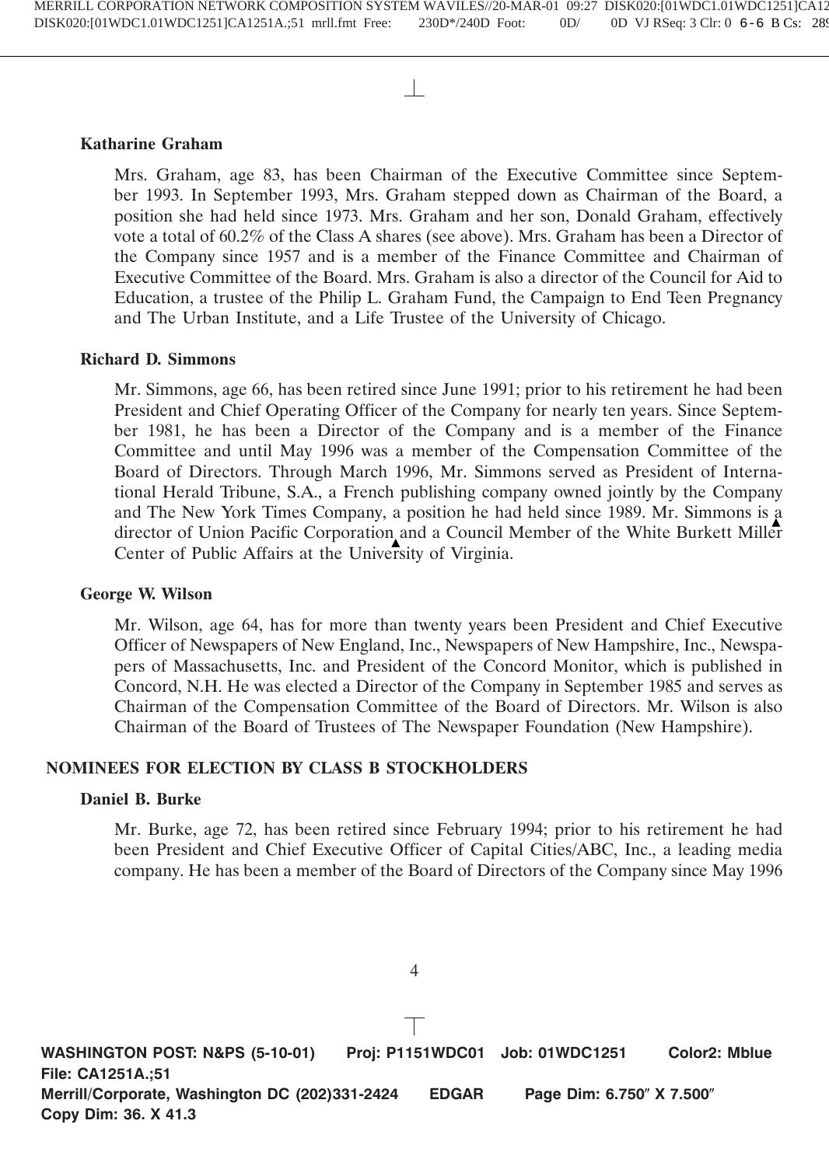# **Katharine Graham**

Mrs. Graham, age 83, has been Chairman of the Executive Committee since September 1993. In September 1993, Mrs. Graham stepped down as Chairman of the Board, a position she had held since 1973. Mrs. Graham and her son, Donald Graham, effectively vote a total of 60.2% of the Class A shares (see above). Mrs. Graham has been a Director of the Company since 1957 and is a member of the Finance Committee and Chairman of Executive Committee of the Board. Mrs. Graham is also a director of the Council for Aid to Education, a trustee of the Philip L. Graham Fund, the Campaign to End Teen Pregnancy and The Urban Institute, and a Life Trustee of the University of Chicago.

# **Richard D. Simmons**

Mr. Simmons, age 66, has been retired since June 1991; prior to his retirement he had been President and Chief Operating Officer of the Company for nearly ten years. Since September 1981, he has been a Director of the Company and is a member of the Finance Committee and until May 1996 was a member of the Compensation Committee of the Board of Directors. Through March 1996, Mr. Simmons served as President of International Herald Tribune, S.A., a French publishing company owned jointly by the Company and The New York Times Company, a position he had held since 1989. Mr. Simmons is a director of Union Pacific Corporation and a Council Member of the White Burkett Miller Center of Public Affairs at the University of Virginia.

# **George W. Wilson**

Mr. Wilson, age 64, has for more than twenty years been President and Chief Executive Officer of Newspapers of New England, Inc., Newspapers of New Hampshire, Inc., Newspapers of Massachusetts, Inc. and President of the Concord Monitor, which is published in Concord, N.H. He was elected a Director of the Company in September 1985 and serves as Chairman of the Compensation Committee of the Board of Directors. Mr. Wilson is also Chairman of the Board of Trustees of The Newspaper Foundation (New Hampshire).

# **NOMINEES FOR ELECTION BY CLASS B STOCKHOLDERS**

# **Daniel B. Burke**

Mr. Burke, age 72, has been retired since February 1994; prior to his retirement he had been President and Chief Executive Officer of Capital Cities/ABC, Inc., a leading media company. He has been a member of the Board of Directors of the Company since May 1996

**WASHINGTON POST: N&PS (5-10-01) Proj: P1151WDC01 Job: 01WDC1251 Color2: Mblue File: CA1251A.;51 Merrill/Corporate, Washington DC (202)331-2424 EDGAR Page Dim: 6.750" X 7.500" Copy Dim: 36. X 41.3**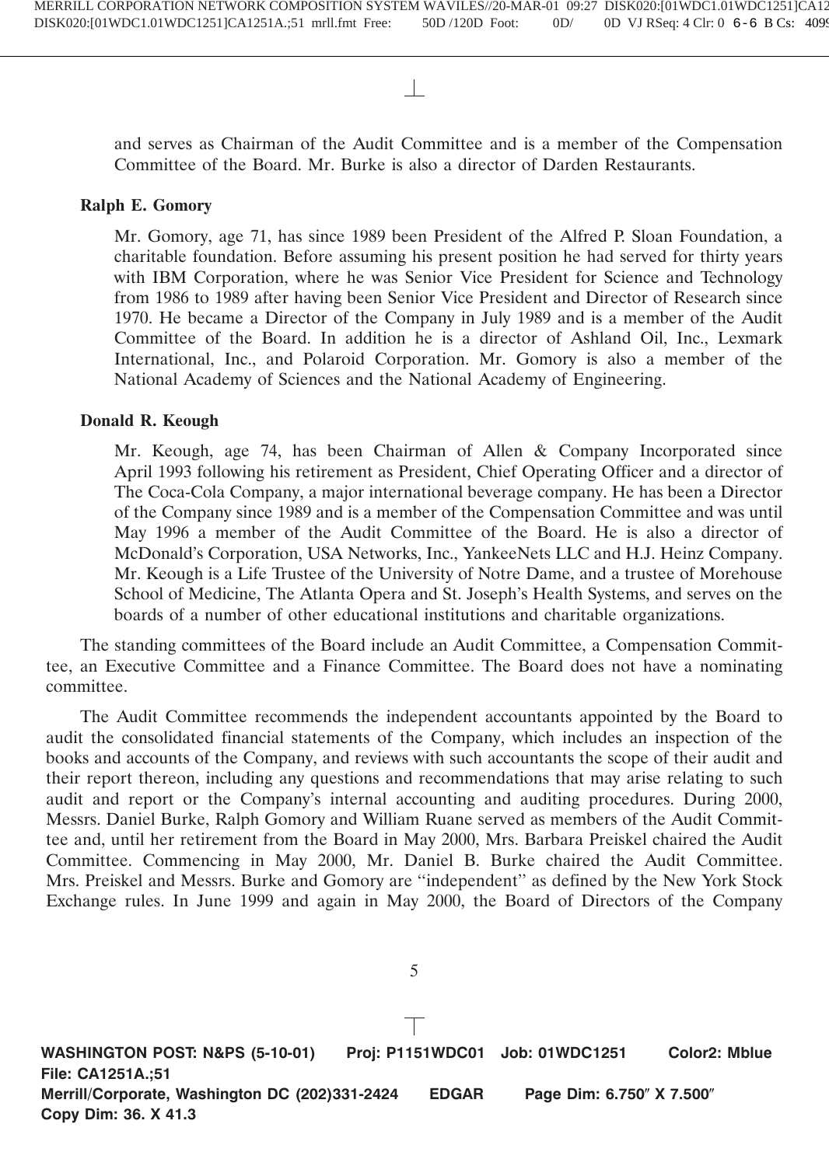and serves as Chairman of the Audit Committee and is a member of the Compensation Committee of the Board. Mr. Burke is also a director of Darden Restaurants.

# **Ralph E. Gomory**

Mr. Gomory, age 71, has since 1989 been President of the Alfred P. Sloan Foundation, a charitable foundation. Before assuming his present position he had served for thirty years with IBM Corporation, where he was Senior Vice President for Science and Technology from 1986 to 1989 after having been Senior Vice President and Director of Research since 1970. He became a Director of the Company in July 1989 and is a member of the Audit Committee of the Board. In addition he is a director of Ashland Oil, Inc., Lexmark International, Inc., and Polaroid Corporation. Mr. Gomory is also a member of the National Academy of Sciences and the National Academy of Engineering.

# **Donald R. Keough**

Mr. Keough, age 74, has been Chairman of Allen & Company Incorporated since April 1993 following his retirement as President, Chief Operating Officer and a director of The Coca-Cola Company, a major international beverage company. He has been a Director of the Company since 1989 and is a member of the Compensation Committee and was until May 1996 a member of the Audit Committee of the Board. He is also a director of McDonald's Corporation, USA Networks, Inc., YankeeNets LLC and H.J. Heinz Company. Mr. Keough is a Life Trustee of the University of Notre Dame, and a trustee of Morehouse School of Medicine, The Atlanta Opera and St. Joseph's Health Systems, and serves on the boards of a number of other educational institutions and charitable organizations.

The standing committees of the Board include an Audit Committee, a Compensation Committee, an Executive Committee and a Finance Committee. The Board does not have a nominating committee.

The Audit Committee recommends the independent accountants appointed by the Board to audit the consolidated financial statements of the Company, which includes an inspection of the books and accounts of the Company, and reviews with such accountants the scope of their audit and their report thereon, including any questions and recommendations that may arise relating to such audit and report or the Company's internal accounting and auditing procedures. During 2000, Messrs. Daniel Burke, Ralph Gomory and William Ruane served as members of the Audit Committee and, until her retirement from the Board in May 2000, Mrs. Barbara Preiskel chaired the Audit Committee. Commencing in May 2000, Mr. Daniel B. Burke chaired the Audit Committee. Mrs. Preiskel and Messrs. Burke and Gomory are ''independent'' as defined by the New York Stock Exchange rules. In June 1999 and again in May 2000, the Board of Directors of the Company

**WASHINGTON POST: N&PS (5-10-01) Proj: P1151WDC01 Job: 01WDC1251 Color2: Mblue File: CA1251A.;51 Merrill/Corporate, Washington DC (202)331-2424 EDGAR Page Dim: 6.750" X 7.500" Copy Dim: 36. X 41.3**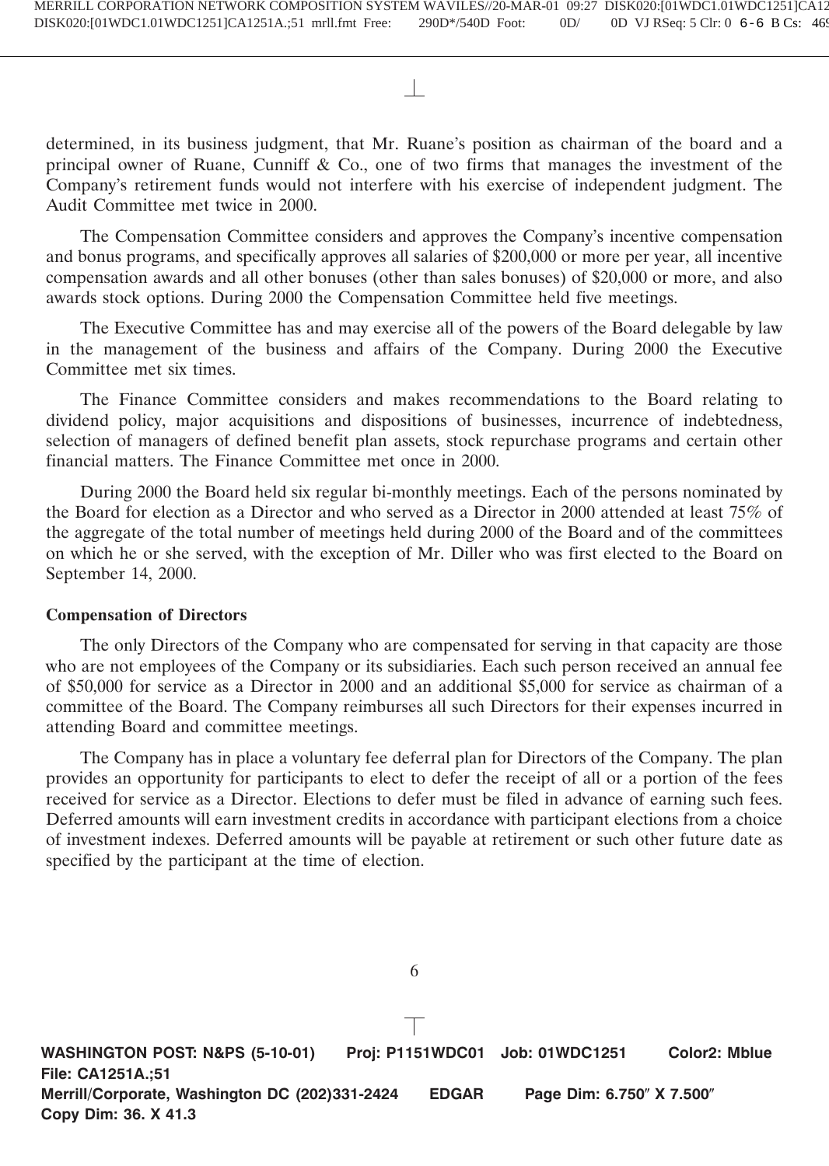determined, in its business judgment, that Mr. Ruane's position as chairman of the board and a principal owner of Ruane, Cunniff & Co., one of two firms that manages the investment of the Company's retirement funds would not interfere with his exercise of independent judgment. The Audit Committee met twice in 2000.

The Compensation Committee considers and approves the Company's incentive compensation and bonus programs, and specifically approves all salaries of \$200,000 or more per year, all incentive compensation awards and all other bonuses (other than sales bonuses) of \$20,000 or more, and also awards stock options. During 2000 the Compensation Committee held five meetings.

The Executive Committee has and may exercise all of the powers of the Board delegable by law in the management of the business and affairs of the Company. During 2000 the Executive Committee met six times.

The Finance Committee considers and makes recommendations to the Board relating to dividend policy, major acquisitions and dispositions of businesses, incurrence of indebtedness, selection of managers of defined benefit plan assets, stock repurchase programs and certain other financial matters. The Finance Committee met once in 2000.

During 2000 the Board held six regular bi-monthly meetings. Each of the persons nominated by the Board for election as a Director and who served as a Director in 2000 attended at least 75% of the aggregate of the total number of meetings held during 2000 of the Board and of the committees on which he or she served, with the exception of Mr. Diller who was first elected to the Board on September 14, 2000.

# **Compensation of Directors**

The only Directors of the Company who are compensated for serving in that capacity are those who are not employees of the Company or its subsidiaries. Each such person received an annual fee of \$50,000 for service as a Director in 2000 and an additional \$5,000 for service as chairman of a committee of the Board. The Company reimburses all such Directors for their expenses incurred in attending Board and committee meetings.

The Company has in place a voluntary fee deferral plan for Directors of the Company. The plan provides an opportunity for participants to elect to defer the receipt of all or a portion of the fees received for service as a Director. Elections to defer must be filed in advance of earning such fees. Deferred amounts will earn investment credits in accordance with participant elections from a choice of investment indexes. Deferred amounts will be payable at retirement or such other future date as specified by the participant at the time of election.

**WASHINGTON POST: N&PS (5-10-01) Proj: P1151WDC01 Job: 01WDC1251 Color2: Mblue File: CA1251A.;51 Merrill/Corporate, Washington DC (202)331-2424 EDGAR Page Dim: 6.750" X 7.500" Copy Dim: 36. X 41.3**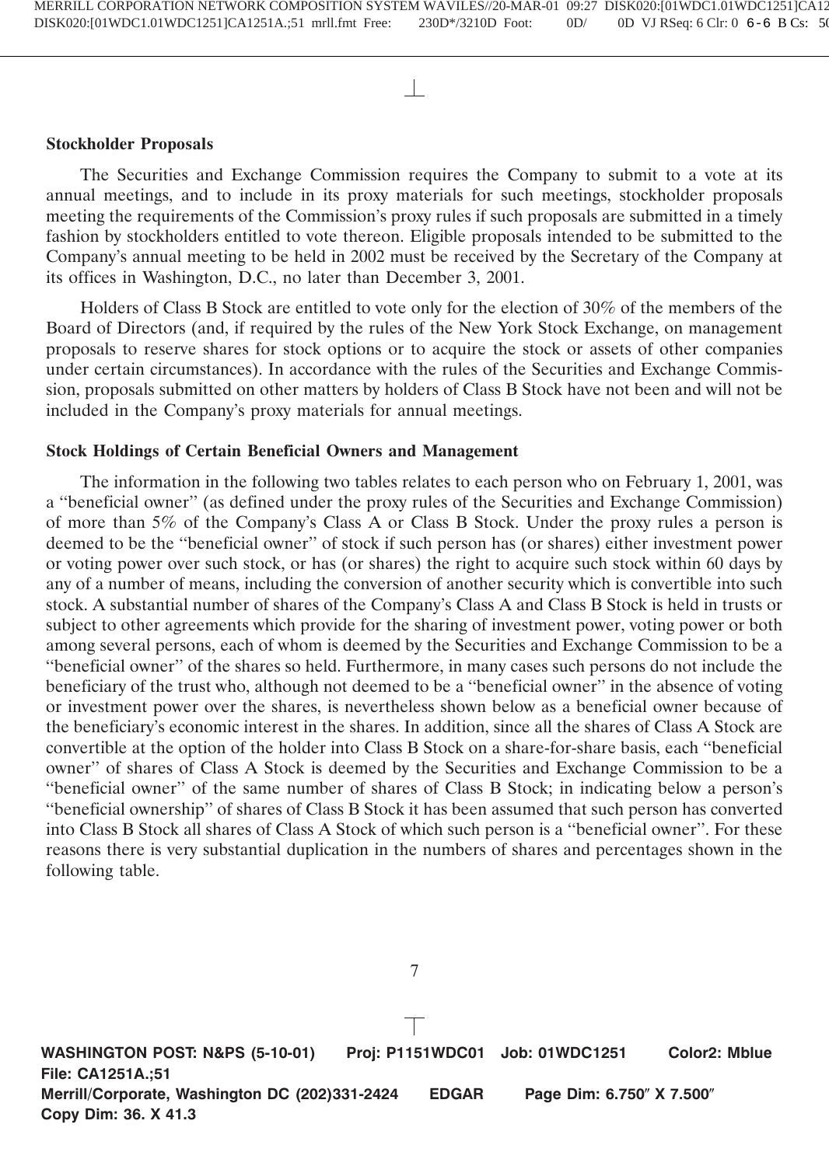# **Stockholder Proposals**

The Securities and Exchange Commission requires the Company to submit to a vote at its annual meetings, and to include in its proxy materials for such meetings, stockholder proposals meeting the requirements of the Commission's proxy rules if such proposals are submitted in a timely fashion by stockholders entitled to vote thereon. Eligible proposals intended to be submitted to the Company's annual meeting to be held in 2002 must be received by the Secretary of the Company at its offices in Washington, D.C., no later than December 3, 2001.

Holders of Class B Stock are entitled to vote only for the election of 30% of the members of the Board of Directors (and, if required by the rules of the New York Stock Exchange, on management proposals to reserve shares for stock options or to acquire the stock or assets of other companies under certain circumstances). In accordance with the rules of the Securities and Exchange Commission, proposals submitted on other matters by holders of Class B Stock have not been and will not be included in the Company's proxy materials for annual meetings.

### **Stock Holdings of Certain Beneficial Owners and Management**

The information in the following two tables relates to each person who on February 1, 2001, was a ''beneficial owner'' (as defined under the proxy rules of the Securities and Exchange Commission) of more than 5% of the Company's Class A or Class B Stock. Under the proxy rules a person is deemed to be the ''beneficial owner'' of stock if such person has (or shares) either investment power or voting power over such stock, or has (or shares) the right to acquire such stock within 60 days by any of a number of means, including the conversion of another security which is convertible into such stock. A substantial number of shares of the Company's Class A and Class B Stock is held in trusts or subject to other agreements which provide for the sharing of investment power, voting power or both among several persons, each of whom is deemed by the Securities and Exchange Commission to be a ''beneficial owner'' of the shares so held. Furthermore, in many cases such persons do not include the beneficiary of the trust who, although not deemed to be a ''beneficial owner'' in the absence of voting or investment power over the shares, is nevertheless shown below as a beneficial owner because of the beneficiary's economic interest in the shares. In addition, since all the shares of Class A Stock are convertible at the option of the holder into Class B Stock on a share-for-share basis, each ''beneficial owner'' of shares of Class A Stock is deemed by the Securities and Exchange Commission to be a ''beneficial owner'' of the same number of shares of Class B Stock; in indicating below a person's ''beneficial ownership'' of shares of Class B Stock it has been assumed that such person has converted into Class B Stock all shares of Class A Stock of which such person is a ''beneficial owner''. For these reasons there is very substantial duplication in the numbers of shares and percentages shown in the following table.

**WASHINGTON POST: N&PS (5-10-01) Proj: P1151WDC01 Job: 01WDC1251 Color2: Mblue File: CA1251A.;51 Merrill/Corporate, Washington DC (202)331-2424 EDGAR Page Dim: 6.750" X 7.500" Copy Dim: 36. X 41.3**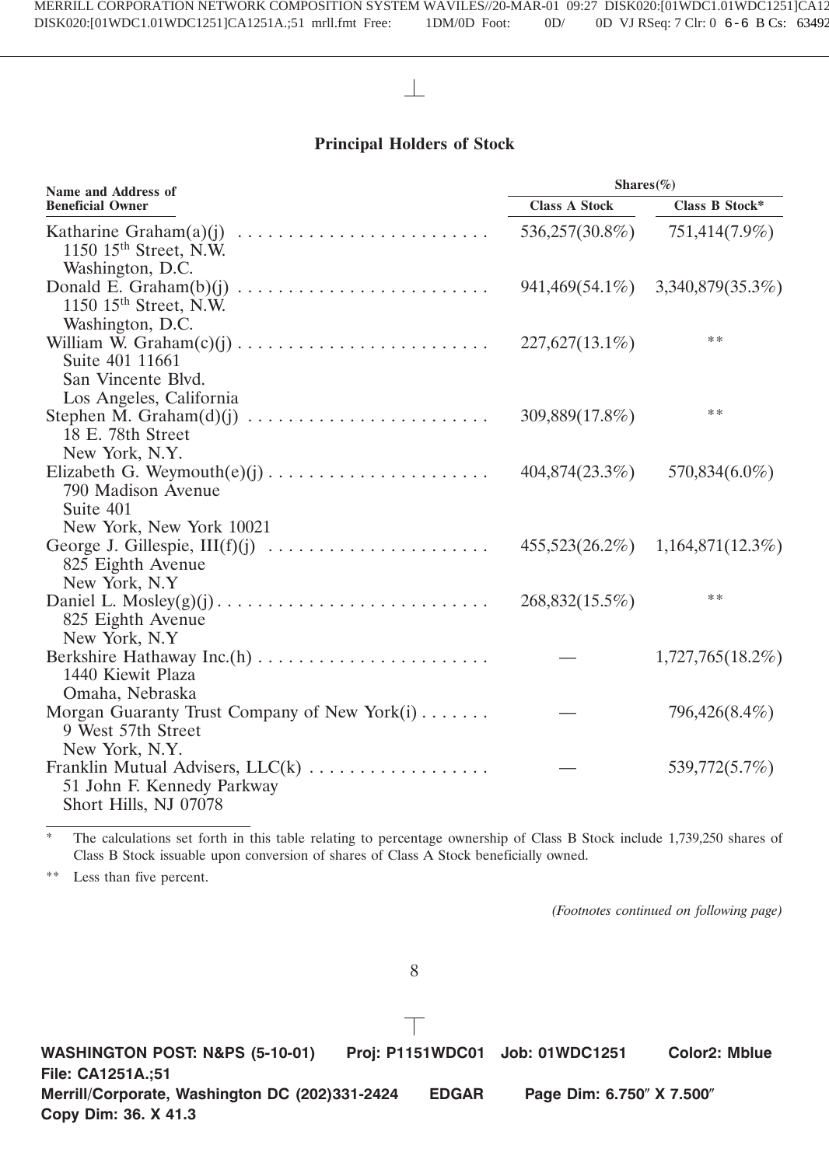# **Principal Holders of Stock**

| Name and Address of                                                             | Shares $(\%)$        |                       |  |
|---------------------------------------------------------------------------------|----------------------|-----------------------|--|
| <b>Beneficial Owner</b>                                                         | <b>Class A Stock</b> | <b>Class B Stock*</b> |  |
| 1150 15 <sup>th</sup> Street, N.W.                                              | 536,257(30.8%)       | 751,414(7.9%)         |  |
| Washington, D.C.                                                                |                      |                       |  |
| 1150 $15th$ Street, N.W.                                                        | 941,469(54.1%)       | 3,340,879(35.3%)      |  |
| Washington, D.C.                                                                |                      | **                    |  |
| William W. $Graham(c)(j) \dots \dots \dots \dots \dots \dots \dots \dots \dots$ | 227,627(13.1%)       |                       |  |
| Suite 401 11661                                                                 |                      |                       |  |
| San Vincente Blvd.                                                              |                      |                       |  |
| Los Angeles, California                                                         | 309,889(17.8%)       | **                    |  |
| 18 E. 78th Street                                                               |                      |                       |  |
| New York, N.Y.                                                                  |                      |                       |  |
|                                                                                 | 404,874(23.3%)       | 570,834(6.0%)         |  |
| 790 Madison Avenue                                                              |                      |                       |  |
| Suite 401                                                                       |                      |                       |  |
| New York, New York 10021                                                        |                      |                       |  |
| George J. Gillespie, III(f)(j)                                                  | 455,523(26.2%)       | 1,164,871(12.3%)      |  |
| 825 Eighth Avenue                                                               |                      |                       |  |
| New York, N.Y.                                                                  |                      |                       |  |
|                                                                                 | 268,832(15.5%)       | **                    |  |
| 825 Eighth Avenue                                                               |                      |                       |  |
| New York, N.Y.                                                                  |                      |                       |  |
|                                                                                 |                      | $1,727,765(18.2\%)$   |  |
| 1440 Kiewit Plaza                                                               |                      |                       |  |
| Omaha, Nebraska                                                                 |                      |                       |  |
| Morgan Guaranty Trust Company of New York $(i)$                                 |                      | 796,426(8.4%)         |  |
| 9 West 57th Street                                                              |                      |                       |  |
| New York, N.Y.                                                                  |                      |                       |  |
| Franklin Mutual Advisers, LLC(k)                                                |                      | 539,772(5.7%)         |  |
| 51 John F. Kennedy Parkway                                                      |                      |                       |  |
| Short Hills, NJ 07078                                                           |                      |                       |  |

\* The calculations set forth in this table relating to percentage ownership of Class B Stock include 1,739,250 shares of Class B Stock issuable upon conversion of shares of Class A Stock beneficially owned.

\*\* Less than five percent.

*(Footnotes continued on following page)*

8

**WASHINGTON POST: N&PS (5-10-01) Proj: P1151WDC01 Job: 01WDC1251 Color2: Mblue File: CA1251A.;51 Merrill/Corporate, Washington DC (202)331-2424 EDGAR Page Dim: 6.750" X 7.500" Copy Dim: 36. X 41.3**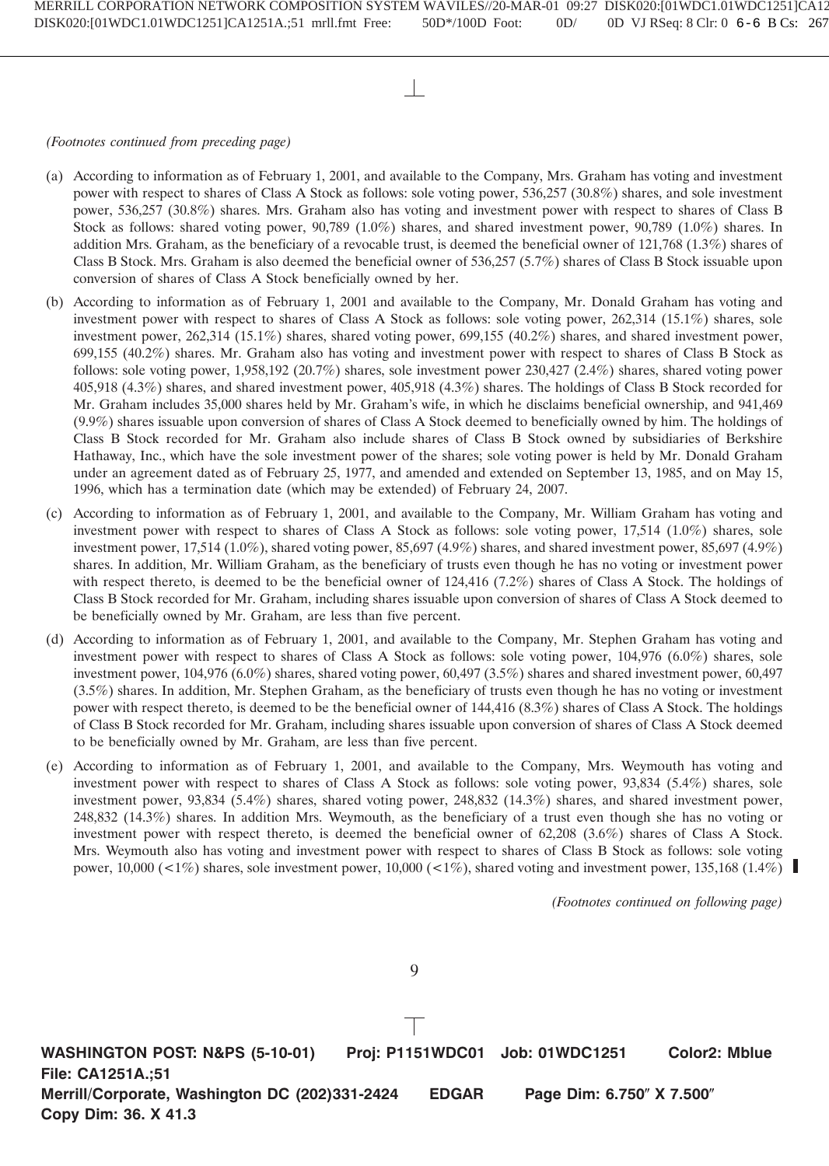- (a) According to information as of February 1, 2001, and available to the Company, Mrs. Graham has voting and investment power with respect to shares of Class A Stock as follows: sole voting power, 536,257 (30.8%) shares, and sole investment power, 536,257 (30.8%) shares. Mrs. Graham also has voting and investment power with respect to shares of Class B Stock as follows: shared voting power, 90,789 (1.0%) shares, and shared investment power, 90,789 (1.0%) shares. In addition Mrs. Graham, as the beneficiary of a revocable trust, is deemed the beneficial owner of 121,768 (1.3%) shares of Class B Stock. Mrs. Graham is also deemed the beneficial owner of 536,257 (5.7%) shares of Class B Stock issuable upon conversion of shares of Class A Stock beneficially owned by her.
- (b) According to information as of February 1, 2001 and available to the Company, Mr. Donald Graham has voting and investment power with respect to shares of Class A Stock as follows: sole voting power, 262,314 (15.1%) shares, sole investment power, 262,314 (15.1%) shares, shared voting power, 699,155 (40.2%) shares, and shared investment power, 699,155 (40.2%) shares. Mr. Graham also has voting and investment power with respect to shares of Class B Stock as follows: sole voting power, 1,958,192 (20.7%) shares, sole investment power 230,427 (2.4%) shares, shared voting power 405,918 (4.3%) shares, and shared investment power, 405,918 (4.3%) shares. The holdings of Class B Stock recorded for Mr. Graham includes 35,000 shares held by Mr. Graham's wife, in which he disclaims beneficial ownership, and 941,469 (9.9%) shares issuable upon conversion of shares of Class A Stock deemed to beneficially owned by him. The holdings of Class B Stock recorded for Mr. Graham also include shares of Class B Stock owned by subsidiaries of Berkshire Hathaway, Inc., which have the sole investment power of the shares; sole voting power is held by Mr. Donald Graham under an agreement dated as of February 25, 1977, and amended and extended on September 13, 1985, and on May 15, 1996, which has a termination date (which may be extended) of February 24, 2007.
- (c) According to information as of February 1, 2001, and available to the Company, Mr. William Graham has voting and investment power with respect to shares of Class A Stock as follows: sole voting power, 17,514 (1.0%) shares, sole investment power, 17,514 (1.0%), shared voting power,  $85,697$  (4.9%) shares, and shared investment power,  $85,697$  (4.9%) shares. In addition, Mr. William Graham, as the beneficiary of trusts even though he has no voting or investment power with respect thereto, is deemed to be the beneficial owner of 124,416 (7.2%) shares of Class A Stock. The holdings of Class B Stock recorded for Mr. Graham, including shares issuable upon conversion of shares of Class A Stock deemed to be beneficially owned by Mr. Graham, are less than five percent.
- (d) According to information as of February 1, 2001, and available to the Company, Mr. Stephen Graham has voting and investment power with respect to shares of Class A Stock as follows: sole voting power, 104,976 (6.0%) shares, sole investment power, 104,976 (6.0%) shares, shared voting power, 60,497 (3.5%) shares and shared investment power, 60,497 (3.5%) shares. In addition, Mr. Stephen Graham, as the beneficiary of trusts even though he has no voting or investment power with respect thereto, is deemed to be the beneficial owner of 144,416 (8.3%) shares of Class A Stock. The holdings of Class B Stock recorded for Mr. Graham, including shares issuable upon conversion of shares of Class A Stock deemed to be beneficially owned by Mr. Graham, are less than five percent.
- (e) According to information as of February 1, 2001, and available to the Company, Mrs. Weymouth has voting and investment power with respect to shares of Class A Stock as follows: sole voting power, 93,834 (5.4%) shares, sole investment power, 93,834 (5.4%) shares, shared voting power, 248,832 (14.3%) shares, and shared investment power, 248,832 (14.3%) shares. In addition Mrs. Weymouth, as the beneficiary of a trust even though she has no voting or investment power with respect thereto, is deemed the beneficial owner of 62,208 (3.6%) shares of Class A Stock. Mrs. Weymouth also has voting and investment power with respect to shares of Class B Stock as follows: sole voting power, 10,000 (<1%) shares, sole investment power, 10,000 (<1%), shared voting and investment power, 135,168 (1.4%)

*(Footnotes continued on following page)*

**WASHINGTON POST: N&PS (5-10-01) Proj: P1151WDC01 Job: 01WDC1251 Color2: Mblue File: CA1251A.;51 Merrill/Corporate, Washington DC (202)331-2424 EDGAR Page Dim: 6.750" X 7.500" Copy Dim: 36. X 41.3**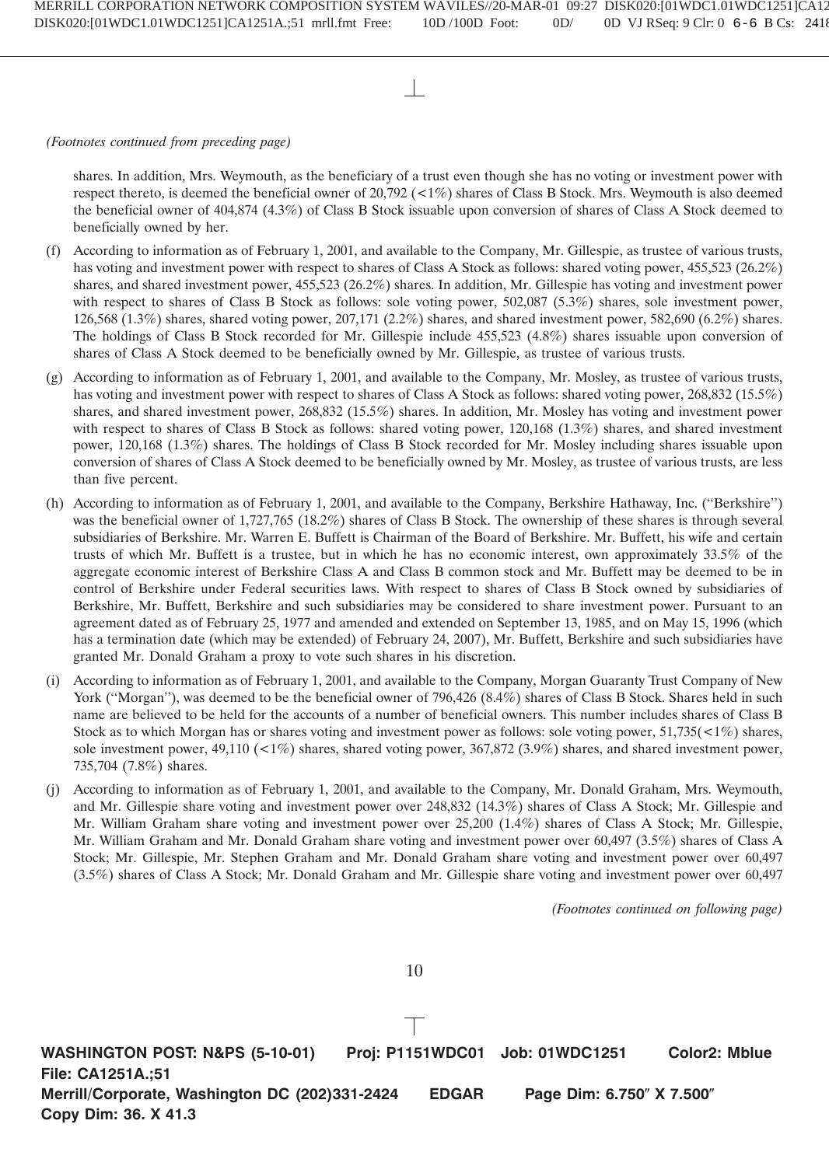shares. In addition, Mrs. Weymouth, as the beneficiary of a trust even though she has no voting or investment power with respect thereto, is deemed the beneficial owner of 20,792 (<1%) shares of Class B Stock. Mrs. Weymouth is also deemed the beneficial owner of 404,874 (4.3%) of Class B Stock issuable upon conversion of shares of Class A Stock deemed to beneficially owned by her.

- (f) According to information as of February 1, 2001, and available to the Company, Mr. Gillespie, as trustee of various trusts, has voting and investment power with respect to shares of Class A Stock as follows: shared voting power, 455,523 (26.2%) shares, and shared investment power, 455,523 (26.2%) shares. In addition, Mr. Gillespie has voting and investment power with respect to shares of Class B Stock as follows: sole voting power, 502,087 (5.3%) shares, sole investment power, 126,568 (1.3%) shares, shared voting power, 207,171 (2.2%) shares, and shared investment power, 582,690 (6.2%) shares. The holdings of Class B Stock recorded for Mr. Gillespie include 455,523 (4.8%) shares issuable upon conversion of shares of Class A Stock deemed to be beneficially owned by Mr. Gillespie, as trustee of various trusts.
- (g) According to information as of February 1, 2001, and available to the Company, Mr. Mosley, as trustee of various trusts, has voting and investment power with respect to shares of Class A Stock as follows: shared voting power, 268,832 (15.5%) shares, and shared investment power, 268,832 (15.5%) shares. In addition, Mr. Mosley has voting and investment power with respect to shares of Class B Stock as follows: shared voting power, 120,168 (1.3%) shares, and shared investment power, 120,168 (1.3%) shares. The holdings of Class B Stock recorded for Mr. Mosley including shares issuable upon conversion of shares of Class A Stock deemed to be beneficially owned by Mr. Mosley, as trustee of various trusts, are less than five percent.
- (h) According to information as of February 1, 2001, and available to the Company, Berkshire Hathaway, Inc. (''Berkshire'') was the beneficial owner of 1,727,765 (18.2%) shares of Class B Stock. The ownership of these shares is through several subsidiaries of Berkshire. Mr. Warren E. Buffett is Chairman of the Board of Berkshire. Mr. Buffett, his wife and certain trusts of which Mr. Buffett is a trustee, but in which he has no economic interest, own approximately 33.5% of the aggregate economic interest of Berkshire Class A and Class B common stock and Mr. Buffett may be deemed to be in control of Berkshire under Federal securities laws. With respect to shares of Class B Stock owned by subsidiaries of Berkshire, Mr. Buffett, Berkshire and such subsidiaries may be considered to share investment power. Pursuant to an agreement dated as of February 25, 1977 and amended and extended on September 13, 1985, and on May 15, 1996 (which has a termination date (which may be extended) of February 24, 2007), Mr. Buffett, Berkshire and such subsidiaries have granted Mr. Donald Graham a proxy to vote such shares in his discretion.
- (i) According to information as of February 1, 2001, and available to the Company, Morgan Guaranty Trust Company of New York ("Morgan"), was deemed to be the beneficial owner of 796,426 (8.4%) shares of Class B Stock. Shares held in such name are believed to be held for the accounts of a number of beneficial owners. This number includes shares of Class B Stock as to which Morgan has or shares voting and investment power as follows: sole voting power, 51,735(<1%) shares, sole investment power, 49,110 (<1%) shares, shared voting power, 367,872 (3.9%) shares, and shared investment power, 735,704 (7.8%) shares.
- (j) According to information as of February 1, 2001, and available to the Company, Mr. Donald Graham, Mrs. Weymouth, and Mr. Gillespie share voting and investment power over 248,832 (14.3%) shares of Class A Stock; Mr. Gillespie and Mr. William Graham share voting and investment power over 25,200 (1.4%) shares of Class A Stock; Mr. Gillespie, Mr. William Graham and Mr. Donald Graham share voting and investment power over 60,497 (3.5%) shares of Class A Stock; Mr. Gillespie, Mr. Stephen Graham and Mr. Donald Graham share voting and investment power over 60,497 (3.5%) shares of Class A Stock; Mr. Donald Graham and Mr. Gillespie share voting and investment power over 60,497

*(Footnotes continued on following page)*

10

**WASHINGTON POST: N&PS (5-10-01) Proj: P1151WDC01 Job: 01WDC1251 Color2: Mblue File: CA1251A.;51 Merrill/Corporate, Washington DC (202)331-2424 EDGAR Page Dim: 6.750" X 7.500" Copy Dim: 36. X 41.3**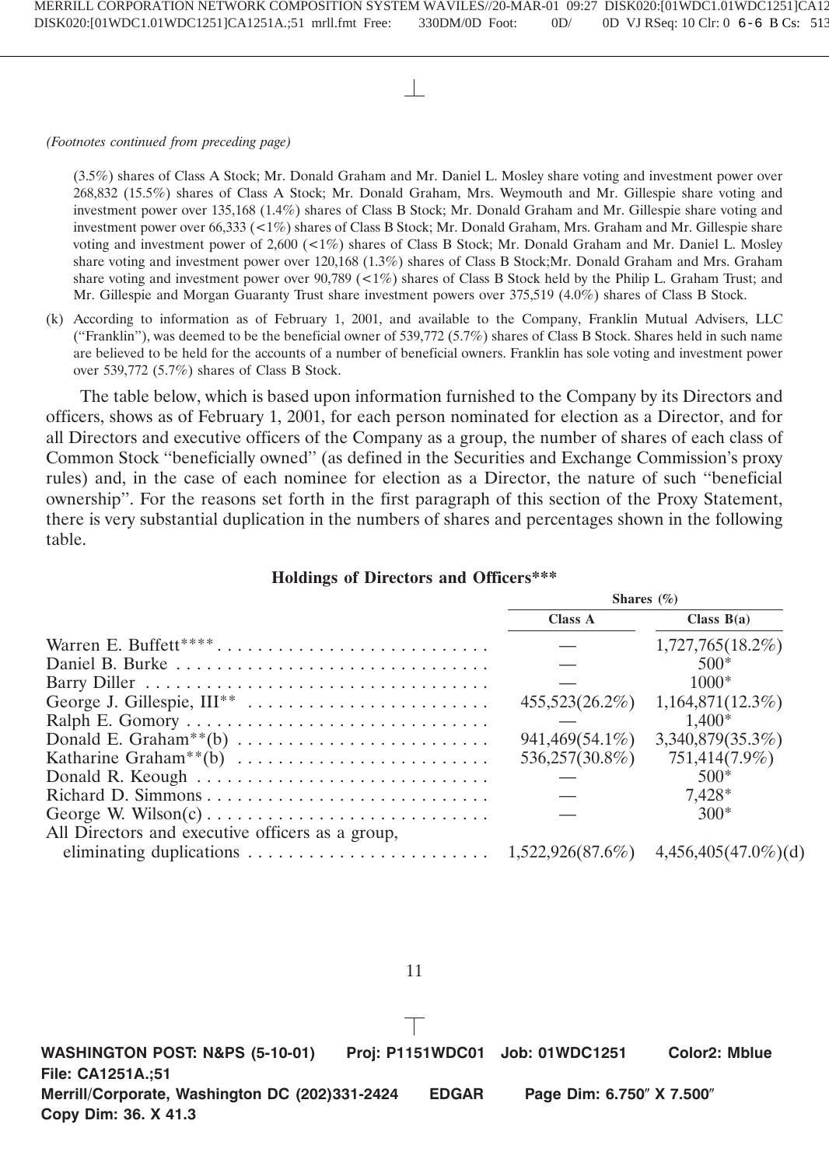(3.5%) shares of Class A Stock; Mr. Donald Graham and Mr. Daniel L. Mosley share voting and investment power over 268,832 (15.5%) shares of Class A Stock; Mr. Donald Graham, Mrs. Weymouth and Mr. Gillespie share voting and investment power over 135,168 (1.4%) shares of Class B Stock; Mr. Donald Graham and Mr. Gillespie share voting and investment power over 66,333 (<1%) shares of Class B Stock; Mr. Donald Graham, Mrs. Graham and Mr. Gillespie share voting and investment power of 2,600 (<1%) shares of Class B Stock; Mr. Donald Graham and Mr. Daniel L. Mosley share voting and investment power over 120,168 (1.3%) shares of Class B Stock;Mr. Donald Graham and Mrs. Graham share voting and investment power over  $90,789$  (<1%) shares of Class B Stock held by the Philip L. Graham Trust; and Mr. Gillespie and Morgan Guaranty Trust share investment powers over 375,519 (4.0%) shares of Class B Stock.

(k) According to information as of February 1, 2001, and available to the Company, Franklin Mutual Advisers, LLC (''Franklin''), was deemed to be the beneficial owner of 539,772 (5.7%) shares of Class B Stock. Shares held in such name are believed to be held for the accounts of a number of beneficial owners. Franklin has sole voting and investment power over 539,772 (5.7%) shares of Class B Stock.

The table below, which is based upon information furnished to the Company by its Directors and officers, shows as of February 1, 2001, for each person nominated for election as a Director, and for all Directors and executive officers of the Company as a group, the number of shares of each class of Common Stock ''beneficially owned'' (as defined in the Securities and Exchange Commission's proxy rules) and, in the case of each nominee for election as a Director, the nature of such ''beneficial ownership''. For the reasons set forth in the first paragraph of this section of the Proxy Statement, there is very substantial duplication in the numbers of shares and percentages shown in the following table.

|  |  |  |  | <b>Holdings of Directors and Officers***</b> |
|--|--|--|--|----------------------------------------------|
|--|--|--|--|----------------------------------------------|

|                                                  | Shares $(\% )$ |                         |  |
|--------------------------------------------------|----------------|-------------------------|--|
|                                                  | Class A        | Class $B(a)$            |  |
| Warren E. Buffett****                            |                | 1,727,765(18.2%)        |  |
|                                                  |                | $500*$                  |  |
|                                                  |                | $1000*$                 |  |
|                                                  | 455,523(26.2%) | 1,164,871(12.3%)        |  |
|                                                  |                | $1.400*$                |  |
|                                                  | 941,469(54.1%) | 3,340,879(35.3%)        |  |
|                                                  | 536,257(30.8%) | 751,414(7.9%)           |  |
|                                                  |                | $500*$                  |  |
|                                                  |                | 7.428*                  |  |
|                                                  |                | $300*$                  |  |
| All Directors and executive officers as a group, |                |                         |  |
|                                                  |                | $4,456,405(47.0\%)$ (d) |  |
|                                                  |                |                         |  |

11

**WASHINGTON POST: N&PS (5-10-01) Proj: P1151WDC01 Job: 01WDC1251 Color2: Mblue File: CA1251A.;51 Merrill/Corporate, Washington DC (202)331-2424 EDGAR Page Dim: 6.750" X 7.500" Copy Dim: 36. X 41.3**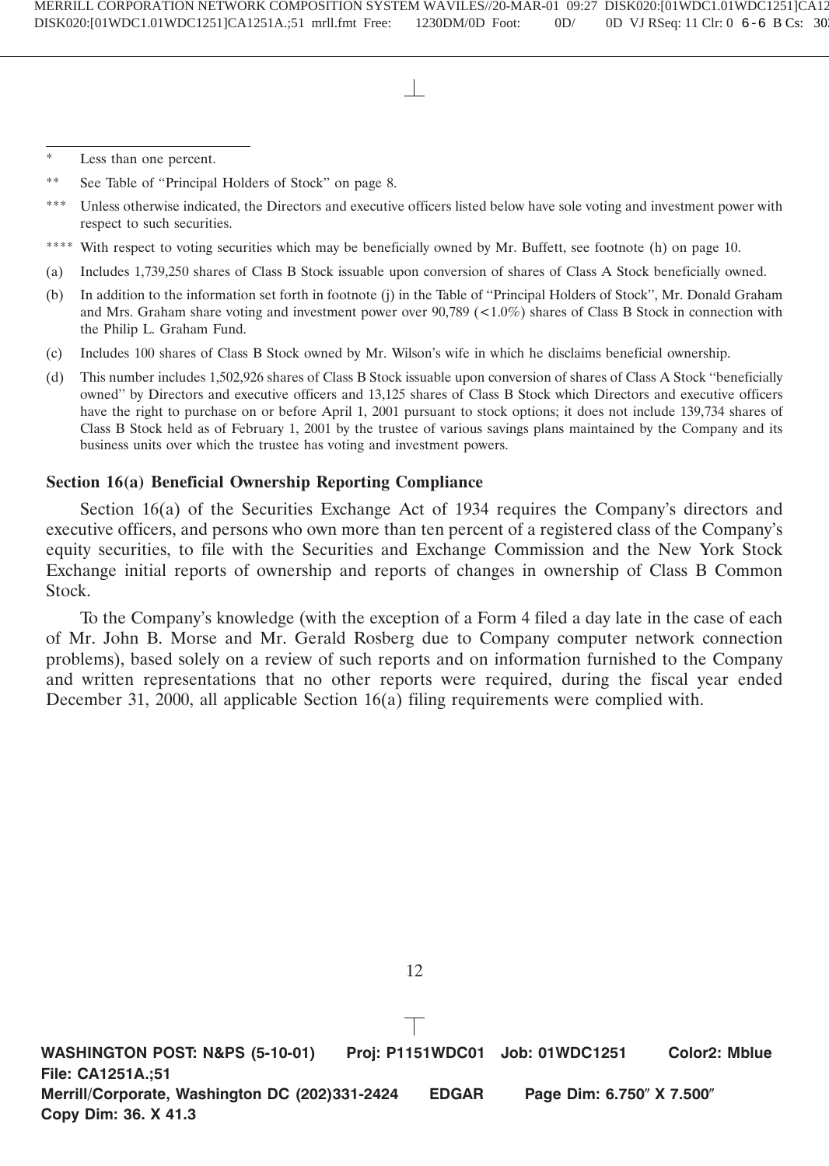\*\* See Table of ''Principal Holders of Stock'' on page 8.

- \*\*\* Unless otherwise indicated, the Directors and executive officers listed below have sole voting and investment power with respect to such securities.
- \*\*\*\* With respect to voting securities which may be beneficially owned by Mr. Buffett, see footnote (h) on page 10.
- (a) Includes 1,739,250 shares of Class B Stock issuable upon conversion of shares of Class A Stock beneficially owned.
- (b) In addition to the information set forth in footnote (j) in the Table of ''Principal Holders of Stock'', Mr. Donald Graham and Mrs. Graham share voting and investment power over 90,789 (<1.0%) shares of Class B Stock in connection with the Philip L. Graham Fund.
- (c) Includes 100 shares of Class B Stock owned by Mr. Wilson's wife in which he disclaims beneficial ownership.
- (d) This number includes 1,502,926 shares of Class B Stock issuable upon conversion of shares of Class A Stock ''beneficially owned'' by Directors and executive officers and 13,125 shares of Class B Stock which Directors and executive officers have the right to purchase on or before April 1, 2001 pursuant to stock options; it does not include 139,734 shares of Class B Stock held as of February 1, 2001 by the trustee of various savings plans maintained by the Company and its business units over which the trustee has voting and investment powers.

# **Section 16(a) Beneficial Ownership Reporting Compliance**

Section 16(a) of the Securities Exchange Act of 1934 requires the Company's directors and executive officers, and persons who own more than ten percent of a registered class of the Company's equity securities, to file with the Securities and Exchange Commission and the New York Stock Exchange initial reports of ownership and reports of changes in ownership of Class B Common Stock.

To the Company's knowledge (with the exception of a Form 4 filed a day late in the case of each of Mr. John B. Morse and Mr. Gerald Rosberg due to Company computer network connection problems), based solely on a review of such reports and on information furnished to the Company and written representations that no other reports were required, during the fiscal year ended December 31, 2000, all applicable Section 16(a) filing requirements were complied with.

**WASHINGTON POST: N&PS (5-10-01) Proj: P1151WDC01 Job: 01WDC1251 Color2: Mblue File: CA1251A.;51 Merrill/Corporate, Washington DC (202)331-2424 EDGAR Page Dim: 6.750" X 7.500" Copy Dim: 36. X 41.3**

<sup>\*</sup> Less than one percent.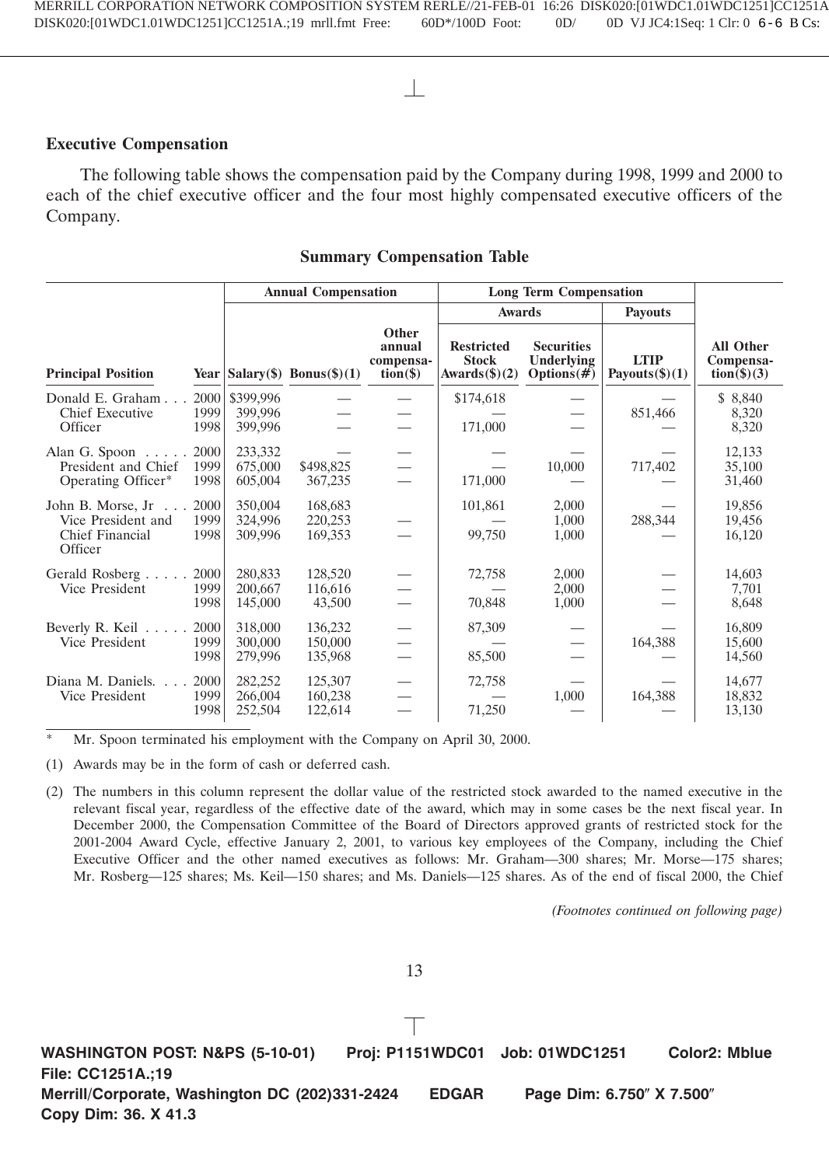# **Executive Compensation**

The following table shows the compensation paid by the Company during 1998, 1999 and 2000 to each of the chief executive officer and the four most highly compensated executive officers of the Company.

# **Summary Compensation Table**

|                                                                                                                         |                                 | <b>Annual Compensation</b>      |                                                                         |                                                              | <b>Long Term Compensation</b>                     |                                  |                                                       |  |
|-------------------------------------------------------------------------------------------------------------------------|---------------------------------|---------------------------------|-------------------------------------------------------------------------|--------------------------------------------------------------|---------------------------------------------------|----------------------------------|-------------------------------------------------------|--|
|                                                                                                                         |                                 |                                 |                                                                         | <b>Awards</b>                                                |                                                   | <b>Payouts</b>                   |                                                       |  |
| <b>Principal Position</b>                                                                                               |                                 | Year $ Salary(\$)$ Bonus(\$)(1) | Other<br>annual<br>compensa-<br>$\overline{\textbf{tion}}(\textbf{\$})$ | <b>Restricted</b><br><b>Stock</b><br>Awards $(\text{\$})(2)$ | <b>Securities</b><br>Underlying<br>Options $(\#)$ | <b>LTIP</b><br>Payouts $(\$)(1)$ | <b>All Other</b><br>Compensa-<br>$\text{tion}(\$)(3)$ |  |
| 2000<br>Donald E. Graham<br><b>Chief Executive</b><br>1999<br>Officer<br>1998                                           | \$399,996<br>399,996<br>399,996 |                                 |                                                                         | \$174,618<br>171,000                                         |                                                   | 851,466                          | \$8,840<br>8,320<br>8,320                             |  |
| 2000<br>Alan G. Spoon $\dots$ .<br>President and Chief<br>1999<br>Operating Officer*<br>1998                            | 233,332<br>675,000<br>605,004   | \$498,825<br>367,235            |                                                                         | 171,000                                                      | 10,000                                            | 717,402                          | 12,133<br>35,100<br>31,460                            |  |
| 2000<br>John B. Morse, Jr.<br>$\sim 10^{-1}$<br>Vice President and<br>1999<br><b>Chief Financial</b><br>1998<br>Officer | 350,004<br>324,996<br>309,996   | 168,683<br>220,253<br>169,353   |                                                                         | 101,861<br>99,750                                            | 2,000<br>1,000<br>1,000                           | 288,344                          | 19,856<br>19,456<br>16,120                            |  |
| Gerald Rosberg<br>2000<br>1999<br>Vice President<br>1998                                                                | 280,833<br>200,667<br>145,000   | 128,520<br>116,616<br>43,500    |                                                                         | 72,758<br>70,848                                             | 2,000<br>2,000<br>1,000                           |                                  | 14,603<br>7,701<br>8,648                              |  |
| Beverly R. Keil<br>2000<br>Vice President<br>1999<br>1998                                                               | 318,000<br>300,000<br>279,996   | 136,232<br>150,000<br>135,968   |                                                                         | 87,309<br>85,500                                             |                                                   | 164,388                          | 16,809<br>15,600<br>14,560                            |  |
| Diana M. Daniels.<br>2000<br>1999<br>Vice President<br>1998                                                             | 282,252<br>266,004<br>252,504   | 125,307<br>160,238<br>122,614   |                                                                         | 72,758<br>71,250                                             | 1,000                                             | 164,388                          | 14,677<br>18,832<br>13,130                            |  |

Mr. Spoon terminated his employment with the Company on April 30, 2000.

(1) Awards may be in the form of cash or deferred cash.

(2) The numbers in this column represent the dollar value of the restricted stock awarded to the named executive in the relevant fiscal year, regardless of the effective date of the award, which may in some cases be the next fiscal year. In December 2000, the Compensation Committee of the Board of Directors approved grants of restricted stock for the 2001-2004 Award Cycle, effective January 2, 2001, to various key employees of the Company, including the Chief Executive Officer and the other named executives as follows: Mr. Graham—300 shares; Mr. Morse—175 shares; Mr. Rosberg—125 shares; Ms. Keil—150 shares; and Ms. Daniels—125 shares. As of the end of fiscal 2000, the Chief

*(Footnotes continued on following page)*

13

**WASHINGTON POST: N&PS (5-10-01) Proj: P1151WDC01 Job: 01WDC1251 Color2: Mblue File: CC1251A.;19 Merrill/Corporate, Washington DC (202)331-2424 EDGAR Page Dim: 6.750" X 7.500" Copy Dim: 36. X 41.3**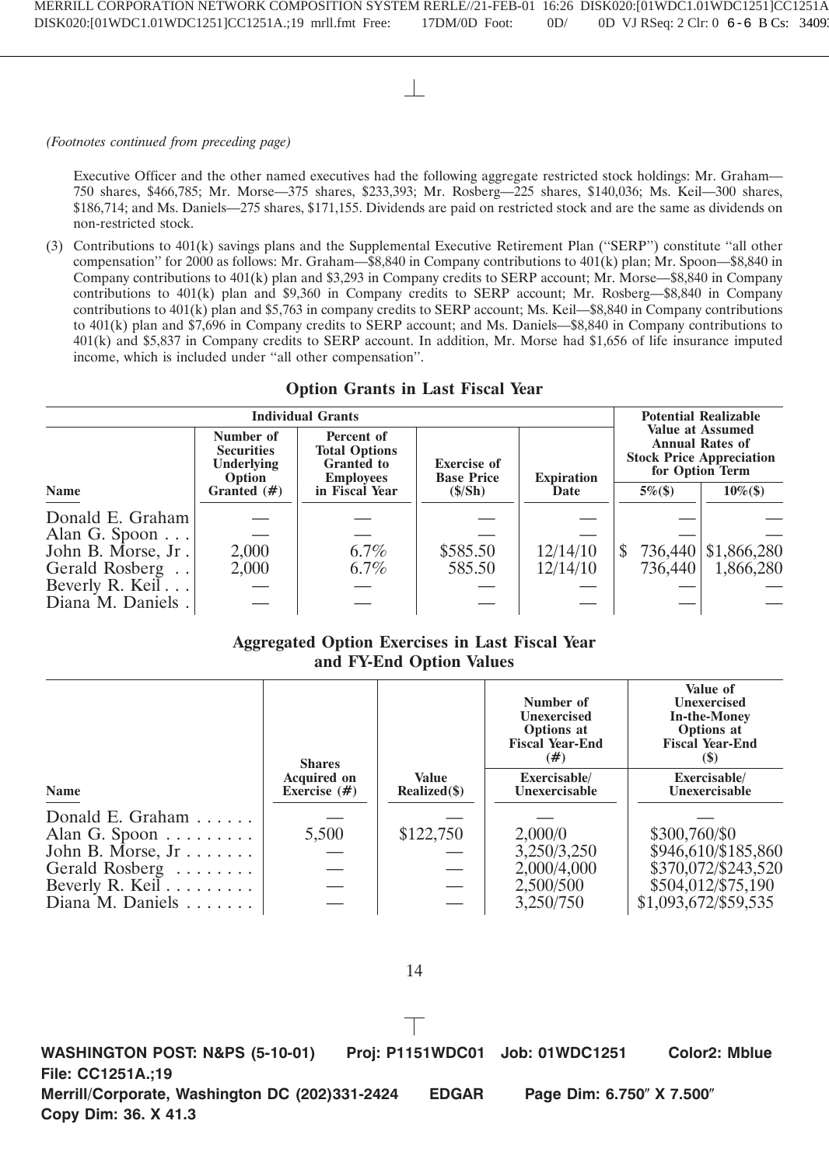Executive Officer and the other named executives had the following aggregate restricted stock holdings: Mr. Graham— 750 shares, \$466,785; Mr. Morse—375 shares, \$233,393; Mr. Rosberg—225 shares, \$140,036; Ms. Keil—300 shares, \$186,714; and Ms. Daniels—275 shares, \$171,155. Dividends are paid on restricted stock and are the same as dividends on non-restricted stock.

(3) Contributions to 401(k) savings plans and the Supplemental Executive Retirement Plan (''SERP'') constitute ''all other compensation'' for 2000 as follows: Mr. Graham—\$8,840 in Company contributions to 401(k) plan; Mr. Spoon—\$8,840 in Company contributions to 401(k) plan and \$3,293 in Company credits to SERP account; Mr. Morse—\$8,840 in Company contributions to 401(k) plan and \$9,360 in Company credits to SERP account; Mr. Rosberg—\$8,840 in Company contributions to  $401(k)$  plan and \$5,763 in company credits to SERP account; Ms. Keil—\$8,840 in Company contributions to 401(k) plan and \$7,696 in Company credits to SERP account; and Ms. Daniels—\$8,840 in Company contributions to 401(k) and \$5,837 in Company credits to SERP account. In addition, Mr. Morse had \$1,656 of life insurance imputed income, which is included under ''all other compensation''.

| <b>Option Grants in Last Fiscal Year</b> |  |  |  |  |  |  |
|------------------------------------------|--|--|--|--|--|--|
|------------------------------------------|--|--|--|--|--|--|

|                                      | Number of<br><b>Securities</b><br><b>Underlying</b><br>Option | <b>Individual Grants</b><br>Percent of<br><b>Total Options</b><br><b>Granted</b> to<br><b>Employees</b> | <b>Exercise of</b><br><b>Base Price</b> | <b>Expiration</b>    |                    | <b>Potential Realizable</b><br><b>Value at Assumed</b><br><b>Annual Rates of</b><br><b>Stock Price Appreciation</b><br>for Option Term |  |
|--------------------------------------|---------------------------------------------------------------|---------------------------------------------------------------------------------------------------------|-----------------------------------------|----------------------|--------------------|----------------------------------------------------------------------------------------------------------------------------------------|--|
| Name                                 | Granted $(\#)$                                                | in Fiscal Year                                                                                          | $(\frac{\S}{\Sh})$                      | Date                 | $5\%$ (\$)         | $10\%$ (\$)                                                                                                                            |  |
| Donald E. Graham<br>Alan G. Spoon    |                                                               |                                                                                                         |                                         |                      |                    |                                                                                                                                        |  |
| John B. Morse, Jr.<br>Gerald Rosberg | 2,000<br>2,000                                                | $6.7\%$<br>$6.7\%$                                                                                      | \$585.50<br>585.50                      | 12/14/10<br>12/14/10 | 736,440<br>736,440 | \$1,866,280<br>1,866,280                                                                                                               |  |
| Beverly R. Keil<br>Diana M. Daniels. |                                                               |                                                                                                         |                                         |                      |                    |                                                                                                                                        |  |

# **Aggregated Option Exercises in Last Fiscal Year and FY-End Option Values**

|                               | <b>Shares</b>                        |                                 | Number of<br><b>Unexercised</b><br>Options at<br><b>Fiscal Year-End</b><br>(#) | Value of<br><b>Unexercised</b><br><b>In-the-Money</b><br>Options at<br><b>Fiscal Year-End</b><br>$(\$)$ |
|-------------------------------|--------------------------------------|---------------------------------|--------------------------------------------------------------------------------|---------------------------------------------------------------------------------------------------------|
| Name                          | <b>Acquired on</b><br>Exercise $(#)$ | <b>Value</b><br>$Realized(\$))$ | Exercisable/<br>Unexercisable                                                  | Exercisable/<br>Unexercisable                                                                           |
| Donald E. Graham $\ldots$ .   |                                      |                                 |                                                                                |                                                                                                         |
| Alan G. Spoon $\dots \dots$   | 5,500                                | \$122,750                       | 2,000/0                                                                        | \$300,760/\$0                                                                                           |
| John B. Morse, $Jr$           |                                      |                                 | 3,250/3,250                                                                    | \$946,610/\$185,860                                                                                     |
| Gerald Rosberg                |                                      |                                 | 2,000/4,000                                                                    | \$370,072/\$243,520                                                                                     |
| Beverly R. Keil $\dots \dots$ |                                      |                                 | 2,500/500                                                                      | \$504,012/\$75,190                                                                                      |
| Diana M. Daniels $\ldots$     |                                      |                                 | 3,250/750                                                                      | \$1,093,672/\$59,535                                                                                    |

14

**WASHINGTON POST: N&PS (5-10-01) Proj: P1151WDC01 Job: 01WDC1251 Color2: Mblue File: CC1251A.;19 Merrill/Corporate, Washington DC (202)331-2424 EDGAR Page Dim: 6.750" X 7.500" Copy Dim: 36. X 41.3**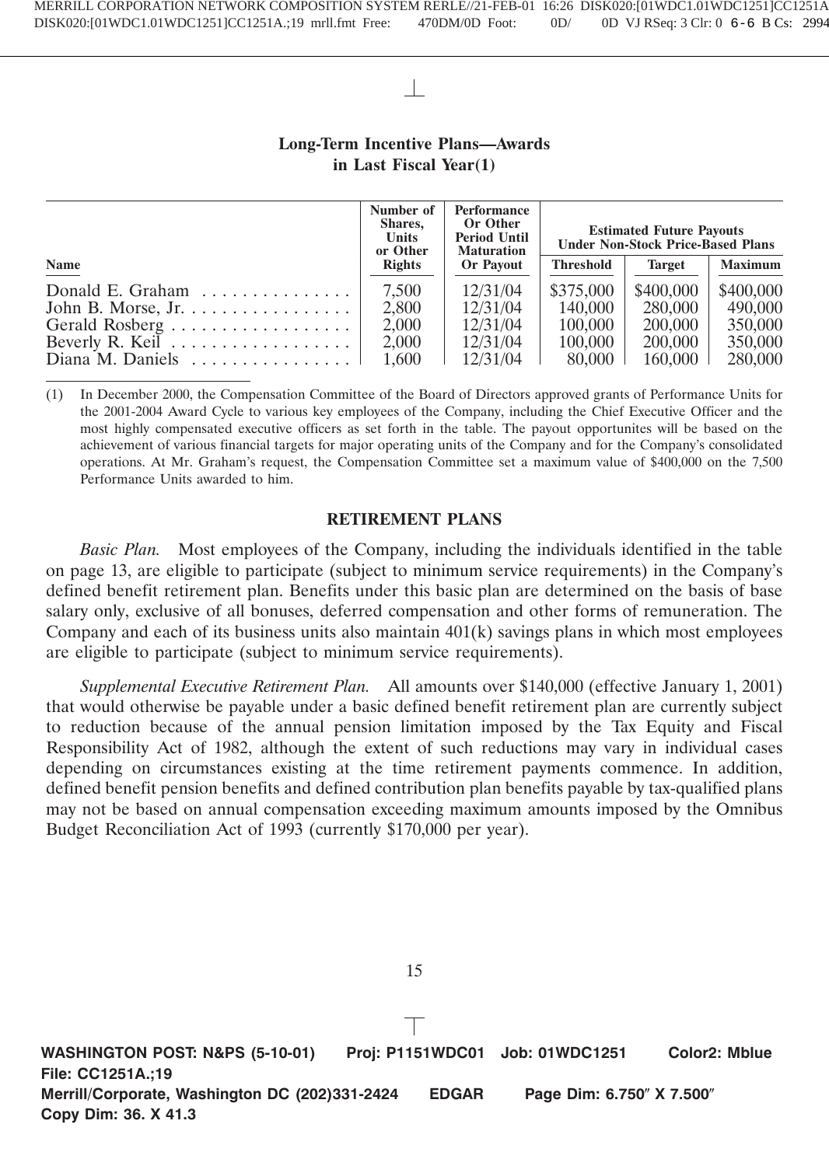# **Long-Term Incentive Plans—Awards in Last Fiscal Year(1)**

|                                                    | Number of<br>Shares,<br>Units<br>or Other | Performance<br>Or Other<br><b>Period Until</b><br><b>Maturation</b> | <b>Estimated Future Payouts</b><br><b>Under Non-Stock Price-Based Plans</b> |               |                |
|----------------------------------------------------|-------------------------------------------|---------------------------------------------------------------------|-----------------------------------------------------------------------------|---------------|----------------|
| <b>Name</b>                                        | <b>Rights</b>                             | <b>Or Payout</b>                                                    | Threshold                                                                   | <b>Target</b> | <b>Maximum</b> |
| Donald E. Graham $\ldots \ldots \ldots \ldots$     | 7.500                                     | 12/31/04                                                            | \$375,000                                                                   | \$400,000     | \$400,000      |
| John B. Morse, Jr. $\dots \dots \dots \dots \dots$ | 2.800                                     | 12/31/04                                                            | 140,000                                                                     | 280,000       | 490,000        |
| Gerald Rosberg                                     | 2,000                                     | 12/31/04                                                            | 100,000                                                                     | 200,000       | 350,000        |
| Beverly R. Keil $\dots \dots \dots \dots \dots$    | 2,000                                     | 12/31/04                                                            | 100,000                                                                     | 200,000       | 350,000        |
| Diana M. Daniels                                   | 1.600                                     | 12/31/04                                                            | 80,000                                                                      | 160,000       | 280,000        |

(1) In December 2000, the Compensation Committee of the Board of Directors approved grants of Performance Units for the 2001-2004 Award Cycle to various key employees of the Company, including the Chief Executive Officer and the most highly compensated executive officers as set forth in the table. The payout opportunites will be based on the achievement of various financial targets for major operating units of the Company and for the Company's consolidated operations. At Mr. Graham's request, the Compensation Committee set a maximum value of \$400,000 on the 7,500 Performance Units awarded to him.

# **RETIREMENT PLANS**

*Basic Plan.* Most employees of the Company, including the individuals identified in the table on page 13, are eligible to participate (subject to minimum service requirements) in the Company's defined benefit retirement plan. Benefits under this basic plan are determined on the basis of base salary only, exclusive of all bonuses, deferred compensation and other forms of remuneration. The Company and each of its business units also maintain  $401(k)$  savings plans in which most employees are eligible to participate (subject to minimum service requirements).

*Supplemental Executive Retirement Plan.* All amounts over \$140,000 (effective January 1, 2001) that would otherwise be payable under a basic defined benefit retirement plan are currently subject to reduction because of the annual pension limitation imposed by the Tax Equity and Fiscal Responsibility Act of 1982, although the extent of such reductions may vary in individual cases depending on circumstances existing at the time retirement payments commence. In addition, defined benefit pension benefits and defined contribution plan benefits payable by tax-qualified plans may not be based on annual compensation exceeding maximum amounts imposed by the Omnibus Budget Reconciliation Act of 1993 (currently \$170,000 per year).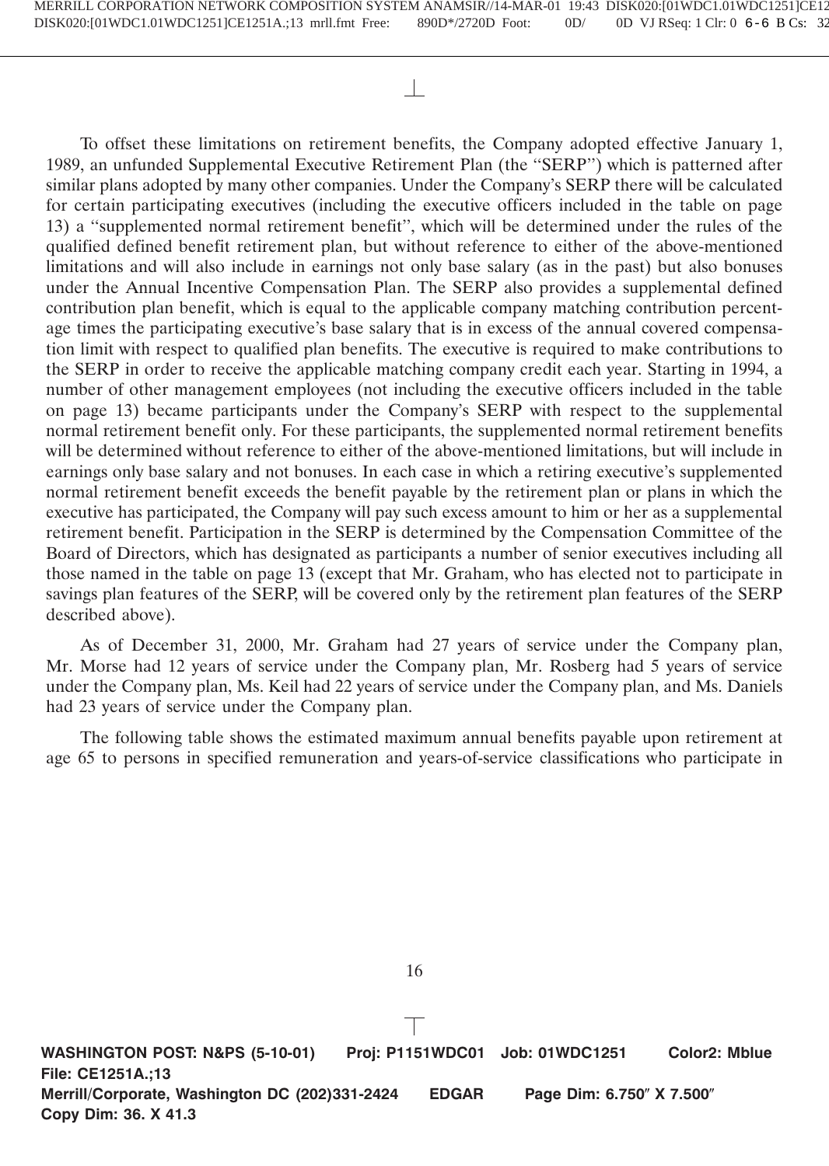To offset these limitations on retirement benefits, the Company adopted effective January 1, 1989, an unfunded Supplemental Executive Retirement Plan (the ''SERP'') which is patterned after similar plans adopted by many other companies. Under the Company's SERP there will be calculated for certain participating executives (including the executive officers included in the table on page 13) a ''supplemented normal retirement benefit'', which will be determined under the rules of the qualified defined benefit retirement plan, but without reference to either of the above-mentioned limitations and will also include in earnings not only base salary (as in the past) but also bonuses under the Annual Incentive Compensation Plan. The SERP also provides a supplemental defined contribution plan benefit, which is equal to the applicable company matching contribution percentage times the participating executive's base salary that is in excess of the annual covered compensation limit with respect to qualified plan benefits. The executive is required to make contributions to the SERP in order to receive the applicable matching company credit each year. Starting in 1994, a number of other management employees (not including the executive officers included in the table on page 13) became participants under the Company's SERP with respect to the supplemental normal retirement benefit only. For these participants, the supplemented normal retirement benefits will be determined without reference to either of the above-mentioned limitations, but will include in earnings only base salary and not bonuses. In each case in which a retiring executive's supplemented normal retirement benefit exceeds the benefit payable by the retirement plan or plans in which the executive has participated, the Company will pay such excess amount to him or her as a supplemental retirement benefit. Participation in the SERP is determined by the Compensation Committee of the Board of Directors, which has designated as participants a number of senior executives including all those named in the table on page 13 (except that Mr. Graham, who has elected not to participate in savings plan features of the SERP, will be covered only by the retirement plan features of the SERP described above).

As of December 31, 2000, Mr. Graham had 27 years of service under the Company plan, Mr. Morse had 12 years of service under the Company plan, Mr. Rosberg had 5 years of service under the Company plan, Ms. Keil had 22 years of service under the Company plan, and Ms. Daniels had 23 years of service under the Company plan.

The following table shows the estimated maximum annual benefits payable upon retirement at age 65 to persons in specified remuneration and years-of-service classifications who participate in

**WASHINGTON POST: N&PS (5-10-01) Proj: P1151WDC01 Job: 01WDC1251 Color2: Mblue File: CE1251A.;13 Merrill/Corporate, Washington DC (202)331-2424 EDGAR Page Dim: 6.750" X 7.500" Copy Dim: 36. X 41.3**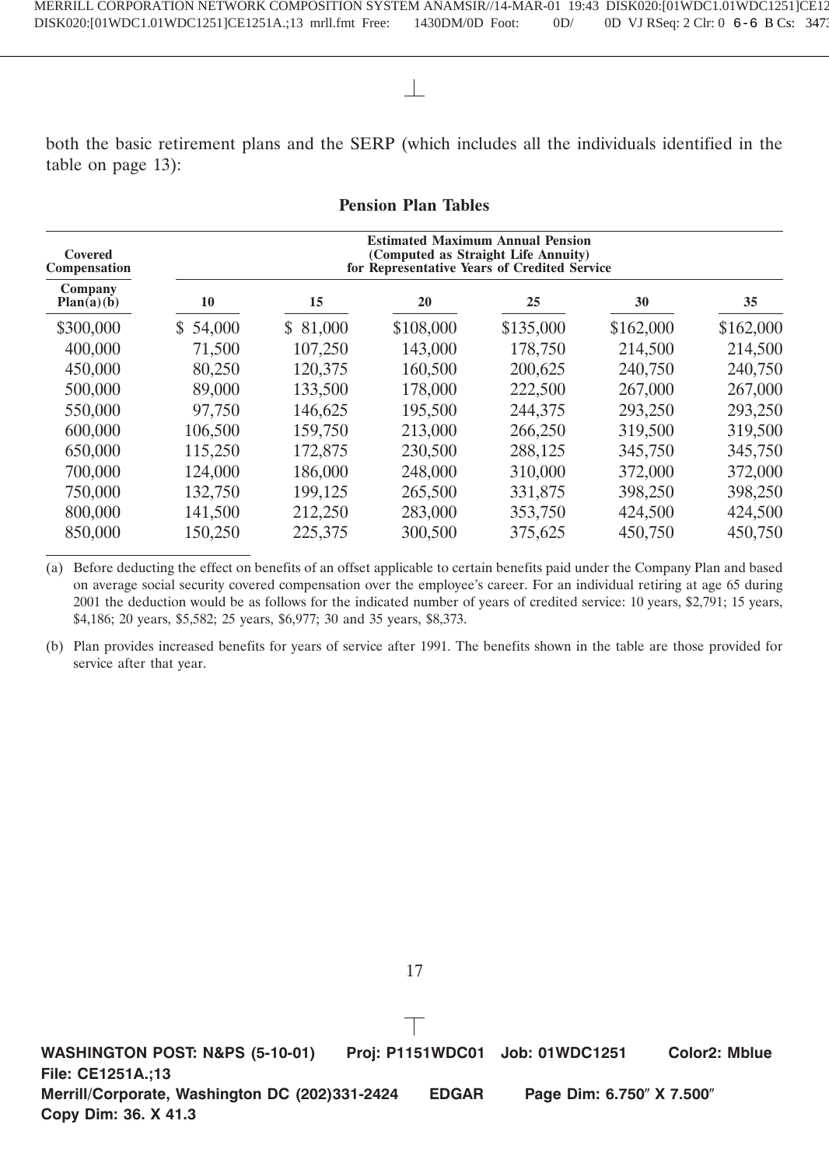both the basic retirement plans and the SERP (which includes all the individuals identified in the table on page 13):

| Covered<br>Compensation |          |          | <b>Estimated Maximum Annual Pension</b><br>(Computed as Straight Life Annuity)<br>for Representative Years of Credited Service |           |           |           |
|-------------------------|----------|----------|--------------------------------------------------------------------------------------------------------------------------------|-----------|-----------|-----------|
| Company<br>Plan(a)(b)   | 10       | 15       | 20                                                                                                                             | 25        | 30        | 35        |
| \$300,000               | \$54,000 | \$81,000 | \$108,000                                                                                                                      | \$135,000 | \$162,000 | \$162,000 |
| 400,000                 | 71,500   | 107,250  | 143,000                                                                                                                        | 178,750   | 214,500   | 214,500   |
| 450,000                 | 80,250   | 120,375  | 160,500                                                                                                                        | 200,625   | 240,750   | 240,750   |
| 500,000                 | 89,000   | 133,500  | 178,000                                                                                                                        | 222,500   | 267,000   | 267,000   |
| 550,000                 | 97,750   | 146,625  | 195,500                                                                                                                        | 244,375   | 293,250   | 293,250   |
| 600,000                 | 106,500  | 159,750  | 213,000                                                                                                                        | 266,250   | 319,500   | 319,500   |
| 650,000                 | 115,250  | 172,875  | 230,500                                                                                                                        | 288,125   | 345,750   | 345,750   |
| 700,000                 | 124,000  | 186,000  | 248,000                                                                                                                        | 310,000   | 372,000   | 372,000   |
| 750,000                 | 132,750  | 199,125  | 265,500                                                                                                                        | 331,875   | 398,250   | 398,250   |
| 800,000                 | 141,500  | 212,250  | 283,000                                                                                                                        | 353,750   | 424,500   | 424,500   |
| 850,000                 | 150,250  | 225,375  | 300,500                                                                                                                        | 375,625   | 450,750   | 450,750   |

**Pension Plan Tables**

(a) Before deducting the effect on benefits of an offset applicable to certain benefits paid under the Company Plan and based on average social security covered compensation over the employee's career. For an individual retiring at age 65 during 2001 the deduction would be as follows for the indicated number of years of credited service: 10 years, \$2,791; 15 years, \$4,186; 20 years, \$5,582; 25 years, \$6,977; 30 and 35 years, \$8,373.

(b) Plan provides increased benefits for years of service after 1991. The benefits shown in the table are those provided for service after that year.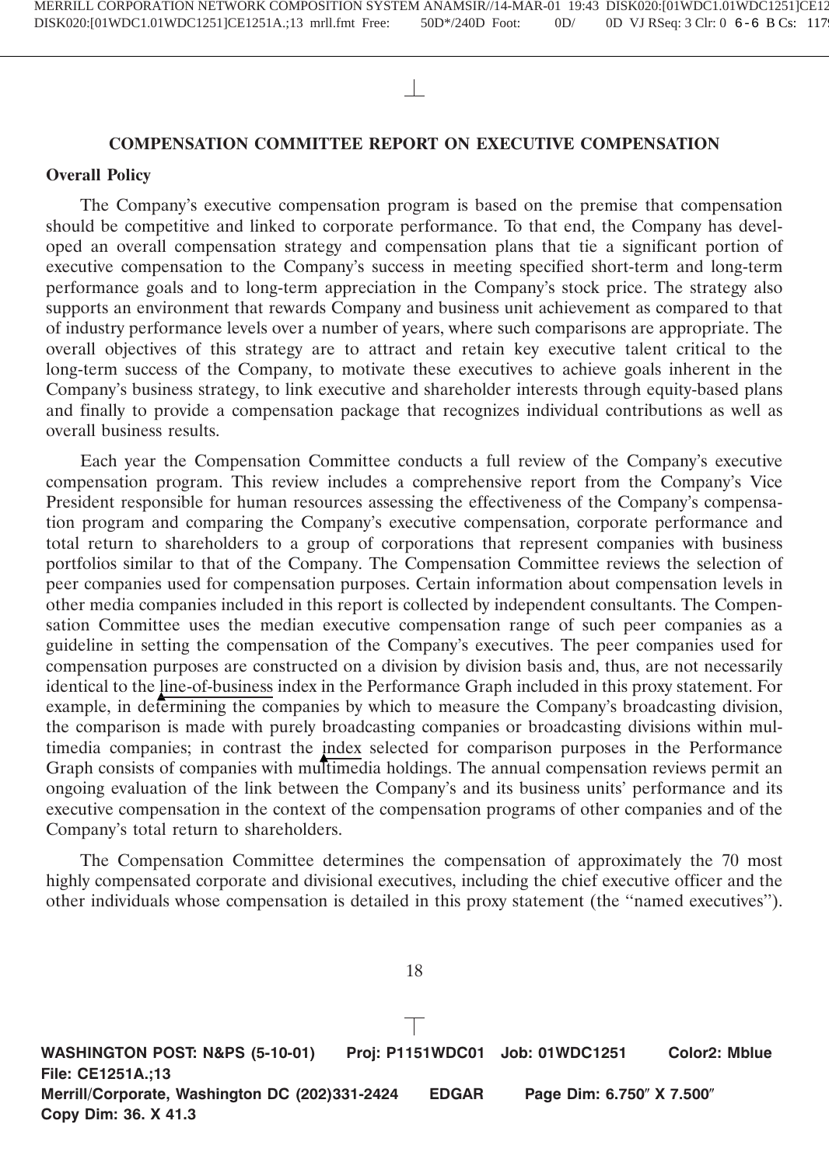# **COMPENSATION COMMITTEE REPORT ON EXECUTIVE COMPENSATION**

# **Overall Policy**

The Company's executive compensation program is based on the premise that compensation should be competitive and linked to corporate performance. To that end, the Company has developed an overall compensation strategy and compensation plans that tie a significant portion of executive compensation to the Company's success in meeting specified short-term and long-term performance goals and to long-term appreciation in the Company's stock price. The strategy also supports an environment that rewards Company and business unit achievement as compared to that of industry performance levels over a number of years, where such comparisons are appropriate. The overall objectives of this strategy are to attract and retain key executive talent critical to the long-term success of the Company, to motivate these executives to achieve goals inherent in the Company's business strategy, to link executive and shareholder interests through equity-based plans and finally to provide a compensation package that recognizes individual contributions as well as overall business results.

Each year the Compensation Committee conducts a full review of the Company's executive compensation program. This review includes a comprehensive report from the Company's Vice President responsible for human resources assessing the effectiveness of the Company's compensation program and comparing the Company's executive compensation, corporate performance and total return to shareholders to a group of corporations that represent companies with business portfolios similar to that of the Company. The Compensation Committee reviews the selection of peer companies used for compensation purposes. Certain information about compensation levels in other media companies included in this report is collected by independent consultants. The Compensation Committee uses the median executive compensation range of such peer companies as a guideline in setting the compensation of the Company's executives. The peer companies used for compensation purposes are constructed on a division by division basis and, thus, are not necessarily identical to the line-of-business index in the Performance Graph included in this proxy statement. For example, in determining the companies by which to measure the Company's broadcasting division, the comparison is made with purely broadcasting companies or broadcasting divisions within multimedia companies; in contrast the index selected for comparison purposes in the Performance Graph consists of companies with multimedia holdings. The annual compensation reviews permit an ongoing evaluation of the link between the Company's and its business units' performance and its executive compensation in the context of the compensation programs of other companies and of the Company's total return to shareholders.

The Compensation Committee determines the compensation of approximately the 70 most highly compensated corporate and divisional executives, including the chief executive officer and the other individuals whose compensation is detailed in this proxy statement (the ''named executives'').

18

**WASHINGTON POST: N&PS (5-10-01) Proj: P1151WDC01 Job: 01WDC1251 Color2: Mblue File: CE1251A.;13 Merrill/Corporate, Washington DC (202)331-2424 EDGAR Page Dim: 6.750" X 7.500" Copy Dim: 36. X 41.3**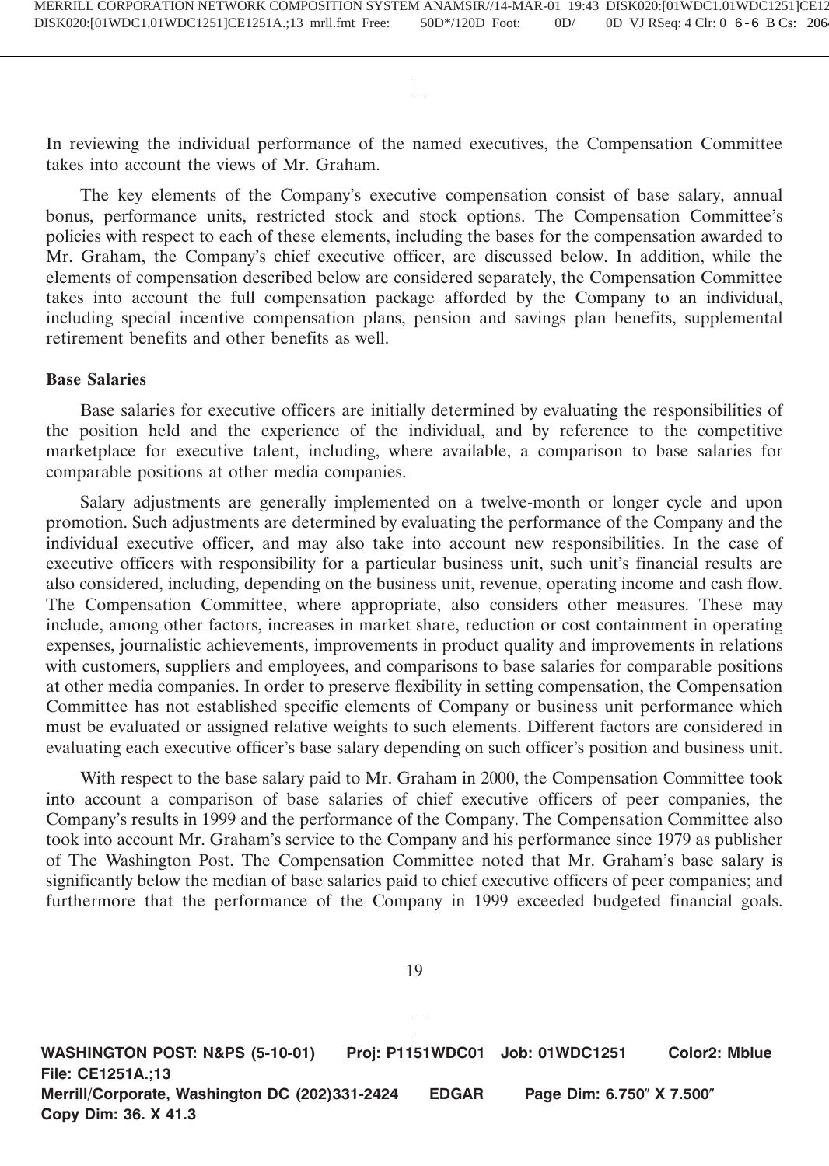In reviewing the individual performance of the named executives, the Compensation Committee takes into account the views of Mr. Graham.

The key elements of the Company's executive compensation consist of base salary, annual bonus, performance units, restricted stock and stock options. The Compensation Committee's policies with respect to each of these elements, including the bases for the compensation awarded to Mr. Graham, the Company's chief executive officer, are discussed below. In addition, while the elements of compensation described below are considered separately, the Compensation Committee takes into account the full compensation package afforded by the Company to an individual, including special incentive compensation plans, pension and savings plan benefits, supplemental retirement benefits and other benefits as well.

# **Base Salaries**

Base salaries for executive officers are initially determined by evaluating the responsibilities of the position held and the experience of the individual, and by reference to the competitive marketplace for executive talent, including, where available, a comparison to base salaries for comparable positions at other media companies.

Salary adjustments are generally implemented on a twelve-month or longer cycle and upon promotion. Such adjustments are determined by evaluating the performance of the Company and the individual executive officer, and may also take into account new responsibilities. In the case of executive officers with responsibility for a particular business unit, such unit's financial results are also considered, including, depending on the business unit, revenue, operating income and cash flow. The Compensation Committee, where appropriate, also considers other measures. These may include, among other factors, increases in market share, reduction or cost containment in operating expenses, journalistic achievements, improvements in product quality and improvements in relations with customers, suppliers and employees, and comparisons to base salaries for comparable positions at other media companies. In order to preserve flexibility in setting compensation, the Compensation Committee has not established specific elements of Company or business unit performance which must be evaluated or assigned relative weights to such elements. Different factors are considered in evaluating each executive officer's base salary depending on such officer's position and business unit.

With respect to the base salary paid to Mr. Graham in 2000, the Compensation Committee took into account a comparison of base salaries of chief executive officers of peer companies, the Company's results in 1999 and the performance of the Company. The Compensation Committee also took into account Mr. Graham's service to the Company and his performance since 1979 as publisher of The Washington Post. The Compensation Committee noted that Mr. Graham's base salary is significantly below the median of base salaries paid to chief executive officers of peer companies; and furthermore that the performance of the Company in 1999 exceeded budgeted financial goals.

**WASHINGTON POST: N&PS (5-10-01) Proj: P1151WDC01 Job: 01WDC1251 Color2: Mblue File: CE1251A.;13 Merrill/Corporate, Washington DC (202)331-2424 EDGAR Page Dim: 6.750" X 7.500" Copy Dim: 36. X 41.3**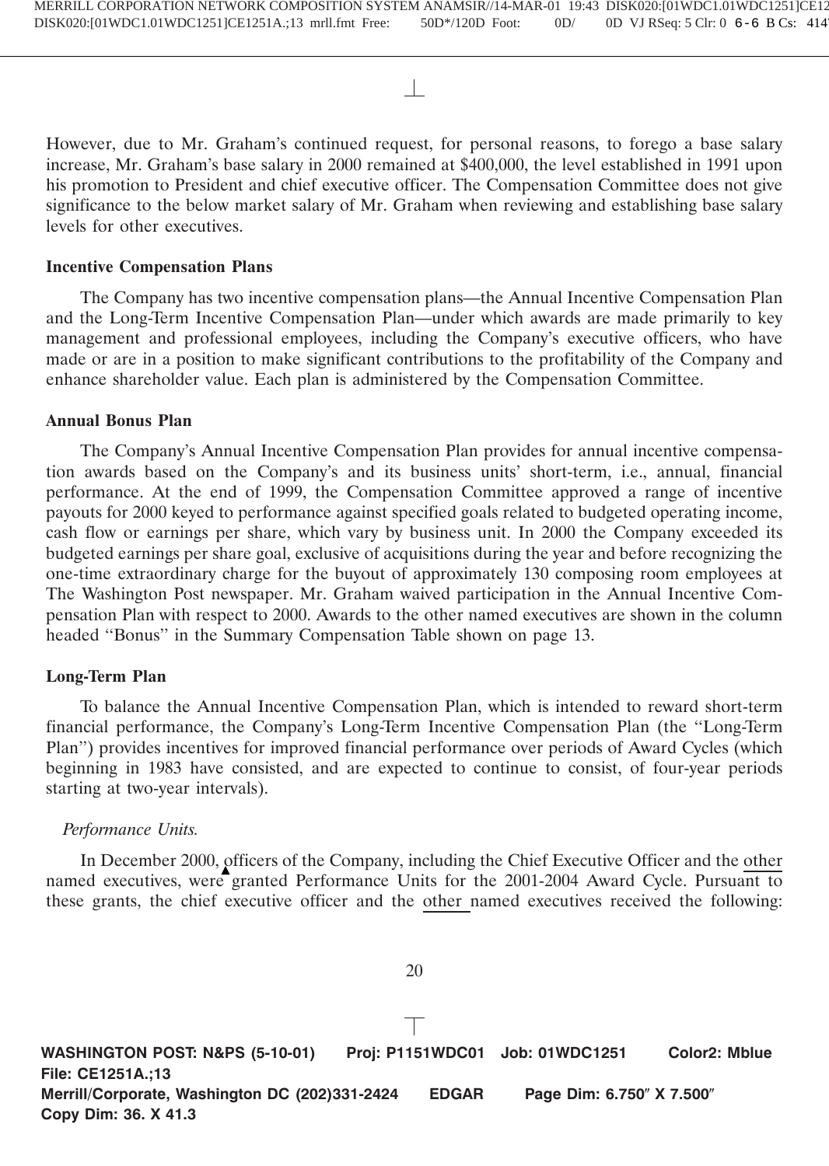However, due to Mr. Graham's continued request, for personal reasons, to forego a base salary increase, Mr. Graham's base salary in 2000 remained at \$400,000, the level established in 1991 upon his promotion to President and chief executive officer. The Compensation Committee does not give significance to the below market salary of Mr. Graham when reviewing and establishing base salary levels for other executives.

# **Incentive Compensation Plans**

The Company has two incentive compensation plans—the Annual Incentive Compensation Plan and the Long-Term Incentive Compensation Plan—under which awards are made primarily to key management and professional employees, including the Company's executive officers, who have made or are in a position to make significant contributions to the profitability of the Company and enhance shareholder value. Each plan is administered by the Compensation Committee.

# **Annual Bonus Plan**

The Company's Annual Incentive Compensation Plan provides for annual incentive compensation awards based on the Company's and its business units' short-term, i.e., annual, financial performance. At the end of 1999, the Compensation Committee approved a range of incentive payouts for 2000 keyed to performance against specified goals related to budgeted operating income, cash flow or earnings per share, which vary by business unit. In 2000 the Company exceeded its budgeted earnings per share goal, exclusive of acquisitions during the year and before recognizing the one-time extraordinary charge for the buyout of approximately 130 composing room employees at The Washington Post newspaper. Mr. Graham waived participation in the Annual Incentive Compensation Plan with respect to 2000. Awards to the other named executives are shown in the column headed ''Bonus'' in the Summary Compensation Table shown on page 13.

# **Long-Term Plan**

To balance the Annual Incentive Compensation Plan, which is intended to reward short-term financial performance, the Company's Long-Term Incentive Compensation Plan (the ''Long-Term Plan'') provides incentives for improved financial performance over periods of Award Cycles (which beginning in 1983 have consisted, and are expected to continue to consist, of four-year periods starting at two-year intervals).

# *Performance Units.*

In December 2000, officers of the Company, including the Chief Executive Officer and the other named executives, were granted Performance Units for the 2001-2004 Award Cycle. Pursuant to these grants, the chief executive officer and the other named executives received the following:

20

**WASHINGTON POST: N&PS (5-10-01) Proj: P1151WDC01 Job: 01WDC1251 Color2: Mblue File: CE1251A.;13 Merrill/Corporate, Washington DC (202)331-2424 EDGAR Page Dim: 6.750" X 7.500" Copy Dim: 36. X 41.3**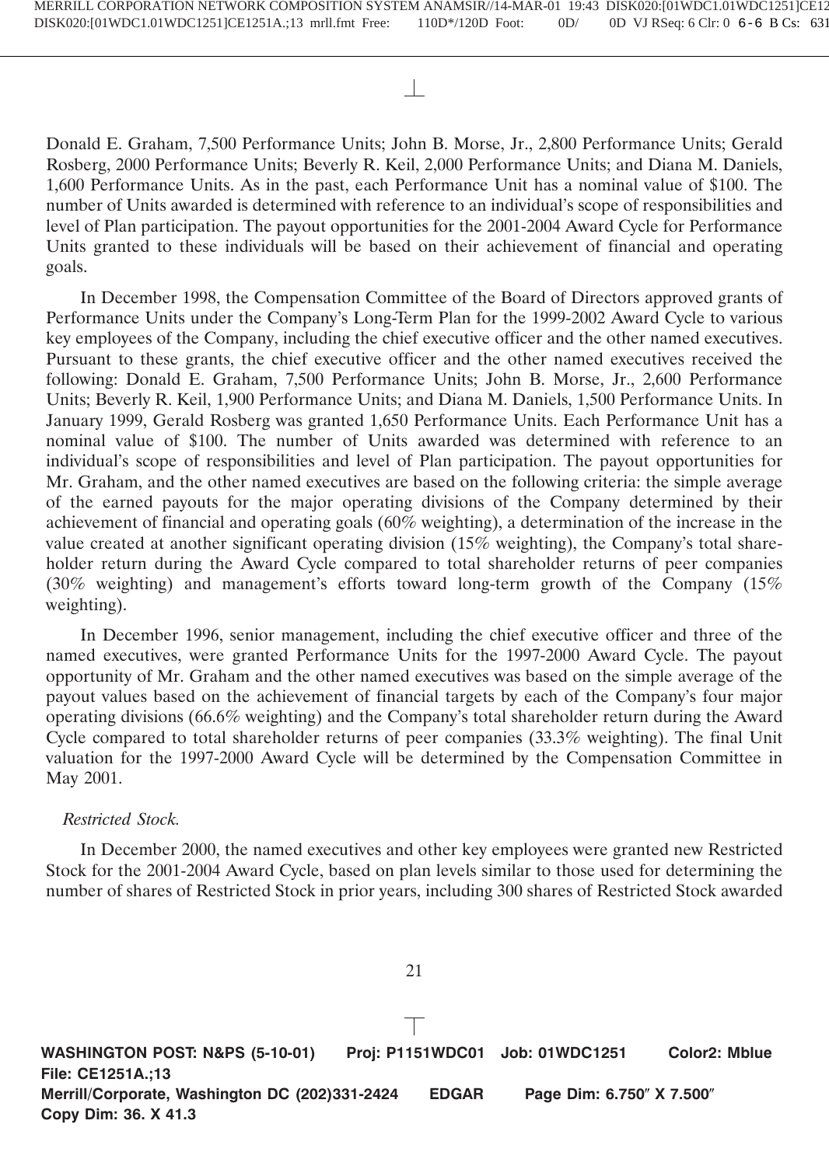Donald E. Graham, 7,500 Performance Units; John B. Morse, Jr., 2,800 Performance Units; Gerald Rosberg, 2000 Performance Units; Beverly R. Keil, 2,000 Performance Units; and Diana M. Daniels, 1,600 Performance Units. As in the past, each Performance Unit has a nominal value of \$100. The number of Units awarded is determined with reference to an individual's scope of responsibilities and level of Plan participation. The payout opportunities for the 2001-2004 Award Cycle for Performance Units granted to these individuals will be based on their achievement of financial and operating goals.

In December 1998, the Compensation Committee of the Board of Directors approved grants of Performance Units under the Company's Long-Term Plan for the 1999-2002 Award Cycle to various key employees of the Company, including the chief executive officer and the other named executives. Pursuant to these grants, the chief executive officer and the other named executives received the following: Donald E. Graham, 7,500 Performance Units; John B. Morse, Jr., 2,600 Performance Units; Beverly R. Keil, 1,900 Performance Units; and Diana M. Daniels, 1,500 Performance Units. In January 1999, Gerald Rosberg was granted 1,650 Performance Units. Each Performance Unit has a nominal value of \$100. The number of Units awarded was determined with reference to an individual's scope of responsibilities and level of Plan participation. The payout opportunities for Mr. Graham, and the other named executives are based on the following criteria: the simple average of the earned payouts for the major operating divisions of the Company determined by their achievement of financial and operating goals (60% weighting), a determination of the increase in the value created at another significant operating division (15% weighting), the Company's total shareholder return during the Award Cycle compared to total shareholder returns of peer companies (30% weighting) and management's efforts toward long-term growth of the Company (15% weighting).

In December 1996, senior management, including the chief executive officer and three of the named executives, were granted Performance Units for the 1997-2000 Award Cycle. The payout opportunity of Mr. Graham and the other named executives was based on the simple average of the payout values based on the achievement of financial targets by each of the Company's four major operating divisions (66.6% weighting) and the Company's total shareholder return during the Award Cycle compared to total shareholder returns of peer companies (33.3% weighting). The final Unit valuation for the 1997-2000 Award Cycle will be determined by the Compensation Committee in May 2001.

# *Restricted Stock.*

In December 2000, the named executives and other key employees were granted new Restricted Stock for the 2001-2004 Award Cycle, based on plan levels similar to those used for determining the number of shares of Restricted Stock in prior years, including 300 shares of Restricted Stock awarded

21

**WASHINGTON POST: N&PS (5-10-01) Proj: P1151WDC01 Job: 01WDC1251 Color2: Mblue File: CE1251A.;13 Merrill/Corporate, Washington DC (202)331-2424 EDGAR Page Dim: 6.750" X 7.500" Copy Dim: 36. X 41.3**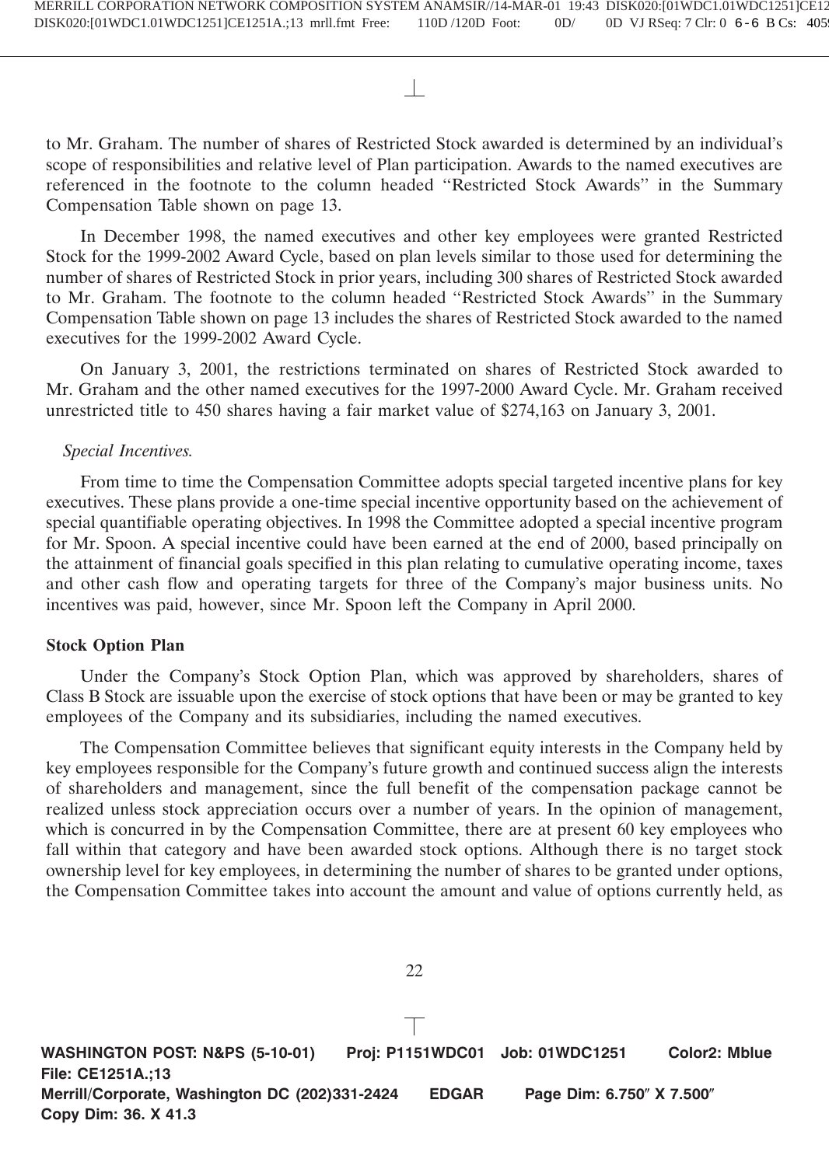to Mr. Graham. The number of shares of Restricted Stock awarded is determined by an individual's scope of responsibilities and relative level of Plan participation. Awards to the named executives are referenced in the footnote to the column headed ''Restricted Stock Awards'' in the Summary Compensation Table shown on page 13.

In December 1998, the named executives and other key employees were granted Restricted Stock for the 1999-2002 Award Cycle, based on plan levels similar to those used for determining the number of shares of Restricted Stock in prior years, including 300 shares of Restricted Stock awarded to Mr. Graham. The footnote to the column headed ''Restricted Stock Awards'' in the Summary Compensation Table shown on page 13 includes the shares of Restricted Stock awarded to the named executives for the 1999-2002 Award Cycle.

On January 3, 2001, the restrictions terminated on shares of Restricted Stock awarded to Mr. Graham and the other named executives for the 1997-2000 Award Cycle. Mr. Graham received unrestricted title to 450 shares having a fair market value of \$274,163 on January 3, 2001.

# *Special Incentives.*

From time to time the Compensation Committee adopts special targeted incentive plans for key executives. These plans provide a one-time special incentive opportunity based on the achievement of special quantifiable operating objectives. In 1998 the Committee adopted a special incentive program for Mr. Spoon. A special incentive could have been earned at the end of 2000, based principally on the attainment of financial goals specified in this plan relating to cumulative operating income, taxes and other cash flow and operating targets for three of the Company's major business units. No incentives was paid, however, since Mr. Spoon left the Company in April 2000.

# **Stock Option Plan**

Under the Company's Stock Option Plan, which was approved by shareholders, shares of Class B Stock are issuable upon the exercise of stock options that have been or may be granted to key employees of the Company and its subsidiaries, including the named executives.

The Compensation Committee believes that significant equity interests in the Company held by key employees responsible for the Company's future growth and continued success align the interests of shareholders and management, since the full benefit of the compensation package cannot be realized unless stock appreciation occurs over a number of years. In the opinion of management, which is concurred in by the Compensation Committee, there are at present 60 key employees who fall within that category and have been awarded stock options. Although there is no target stock ownership level for key employees, in determining the number of shares to be granted under options, the Compensation Committee takes into account the amount and value of options currently held, as

**WASHINGTON POST: N&PS (5-10-01) Proj: P1151WDC01 Job: 01WDC1251 Color2: Mblue File: CE1251A.;13 Merrill/Corporate, Washington DC (202)331-2424 EDGAR Page Dim: 6.750" X 7.500" Copy Dim: 36. X 41.3**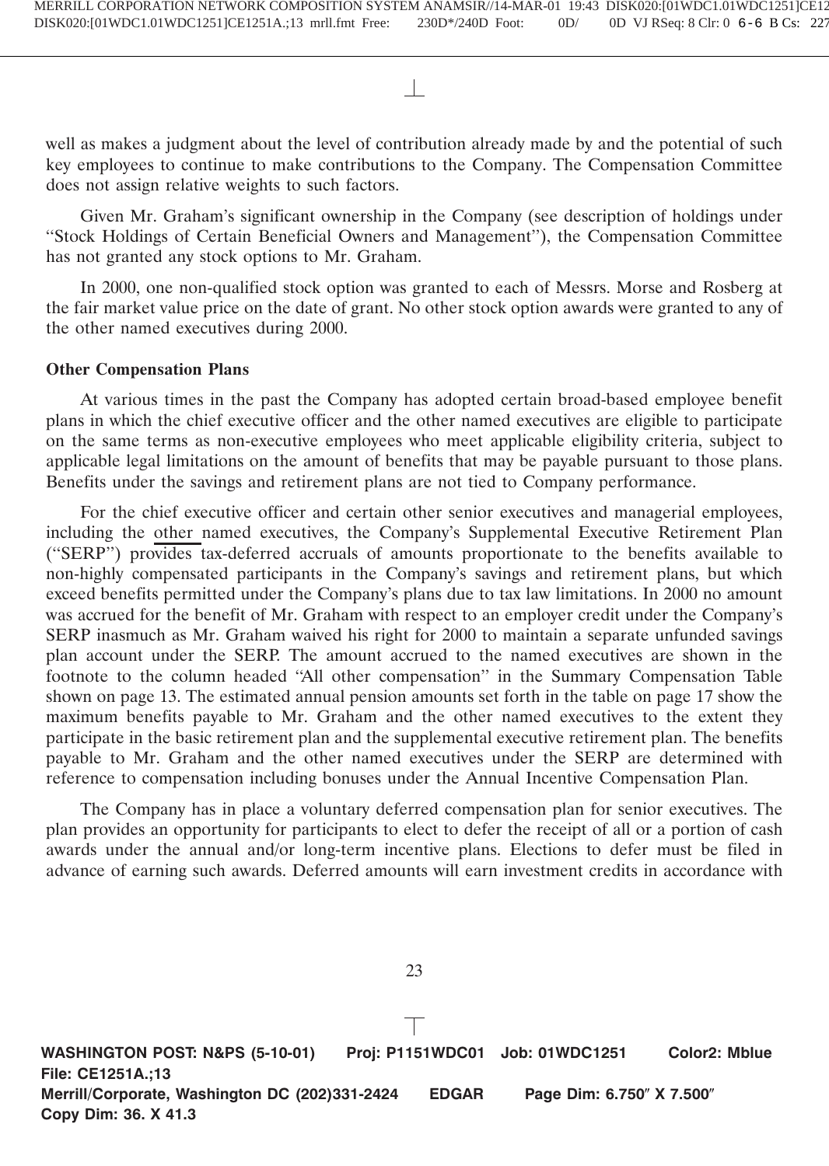well as makes a judgment about the level of contribution already made by and the potential of such key employees to continue to make contributions to the Company. The Compensation Committee does not assign relative weights to such factors.

Given Mr. Graham's significant ownership in the Company (see description of holdings under ''Stock Holdings of Certain Beneficial Owners and Management''), the Compensation Committee has not granted any stock options to Mr. Graham.

In 2000, one non-qualified stock option was granted to each of Messrs. Morse and Rosberg at the fair market value price on the date of grant. No other stock option awards were granted to any of the other named executives during 2000.

# **Other Compensation Plans**

At various times in the past the Company has adopted certain broad-based employee benefit plans in which the chief executive officer and the other named executives are eligible to participate on the same terms as non-executive employees who meet applicable eligibility criteria, subject to applicable legal limitations on the amount of benefits that may be payable pursuant to those plans. Benefits under the savings and retirement plans are not tied to Company performance.

For the chief executive officer and certain other senior executives and managerial employees, including the other named executives, the Company's Supplemental Executive Retirement Plan (''SERP'') provides tax-deferred accruals of amounts proportionate to the benefits available to non-highly compensated participants in the Company's savings and retirement plans, but which exceed benefits permitted under the Company's plans due to tax law limitations. In 2000 no amount was accrued for the benefit of Mr. Graham with respect to an employer credit under the Company's SERP inasmuch as Mr. Graham waived his right for 2000 to maintain a separate unfunded savings plan account under the SERP. The amount accrued to the named executives are shown in the footnote to the column headed ''All other compensation'' in the Summary Compensation Table shown on page 13. The estimated annual pension amounts set forth in the table on page 17 show the maximum benefits payable to Mr. Graham and the other named executives to the extent they participate in the basic retirement plan and the supplemental executive retirement plan. The benefits payable to Mr. Graham and the other named executives under the SERP are determined with reference to compensation including bonuses under the Annual Incentive Compensation Plan.

The Company has in place a voluntary deferred compensation plan for senior executives. The plan provides an opportunity for participants to elect to defer the receipt of all or a portion of cash awards under the annual and/or long-term incentive plans. Elections to defer must be filed in advance of earning such awards. Deferred amounts will earn investment credits in accordance with

**WASHINGTON POST: N&PS (5-10-01) Proj: P1151WDC01 Job: 01WDC1251 Color2: Mblue File: CE1251A.;13 Merrill/Corporate, Washington DC (202)331-2424 EDGAR Page Dim: 6.750" X 7.500" Copy Dim: 36. X 41.3**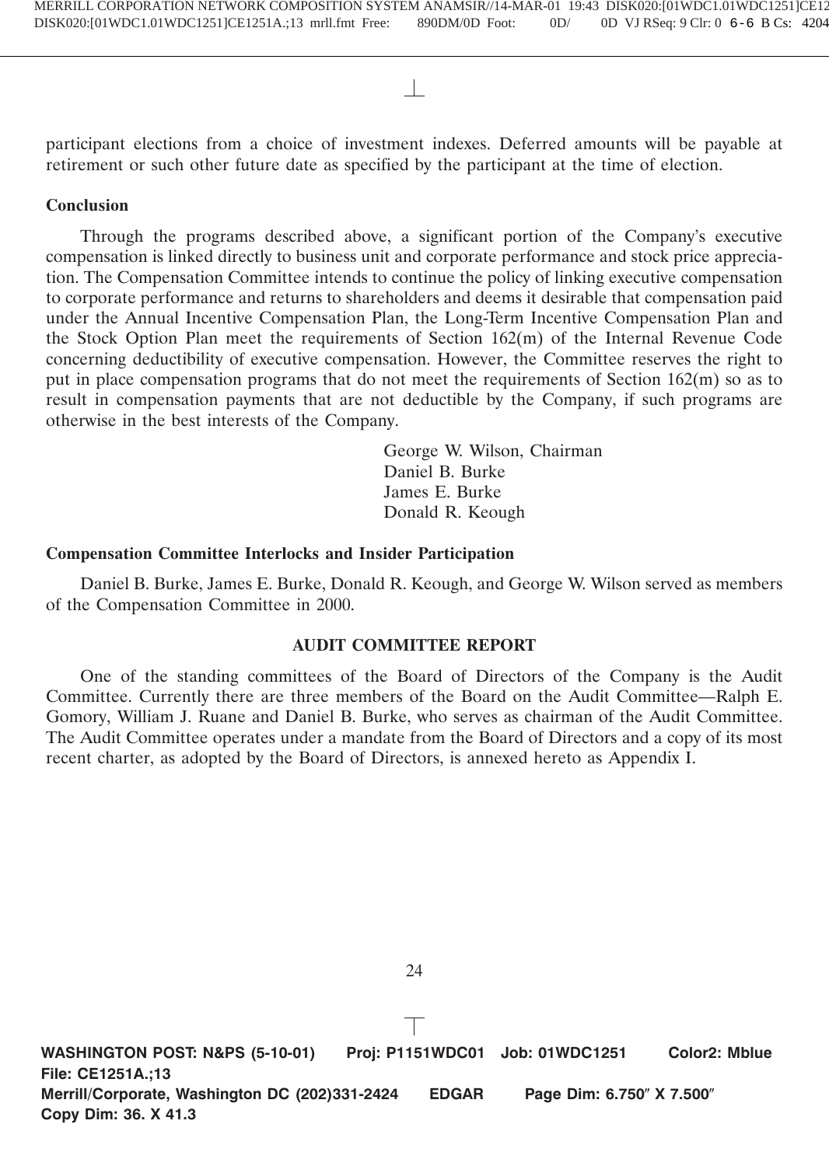participant elections from a choice of investment indexes. Deferred amounts will be payable at retirement or such other future date as specified by the participant at the time of election.

# **Conclusion**

Through the programs described above, a significant portion of the Company's executive compensation is linked directly to business unit and corporate performance and stock price appreciation. The Compensation Committee intends to continue the policy of linking executive compensation to corporate performance and returns to shareholders and deems it desirable that compensation paid under the Annual Incentive Compensation Plan, the Long-Term Incentive Compensation Plan and the Stock Option Plan meet the requirements of Section 162(m) of the Internal Revenue Code concerning deductibility of executive compensation. However, the Committee reserves the right to put in place compensation programs that do not meet the requirements of Section 162(m) so as to result in compensation payments that are not deductible by the Company, if such programs are otherwise in the best interests of the Company.

> George W. Wilson, Chairman Daniel B. Burke James E. Burke Donald R. Keough

# **Compensation Committee Interlocks and Insider Participation**

Daniel B. Burke, James E. Burke, Donald R. Keough, and George W. Wilson served as members of the Compensation Committee in 2000.

# **AUDIT COMMITTEE REPORT**

One of the standing committees of the Board of Directors of the Company is the Audit Committee. Currently there are three members of the Board on the Audit Committee—Ralph E. Gomory, William J. Ruane and Daniel B. Burke, who serves as chairman of the Audit Committee. The Audit Committee operates under a mandate from the Board of Directors and a copy of its most recent charter, as adopted by the Board of Directors, is annexed hereto as Appendix I.

**WASHINGTON POST: N&PS (5-10-01) Proj: P1151WDC01 Job: 01WDC1251 Color2: Mblue File: CE1251A.;13 Merrill/Corporate, Washington DC (202)331-2424 EDGAR Page Dim: 6.750" X 7.500" Copy Dim: 36. X 41.3**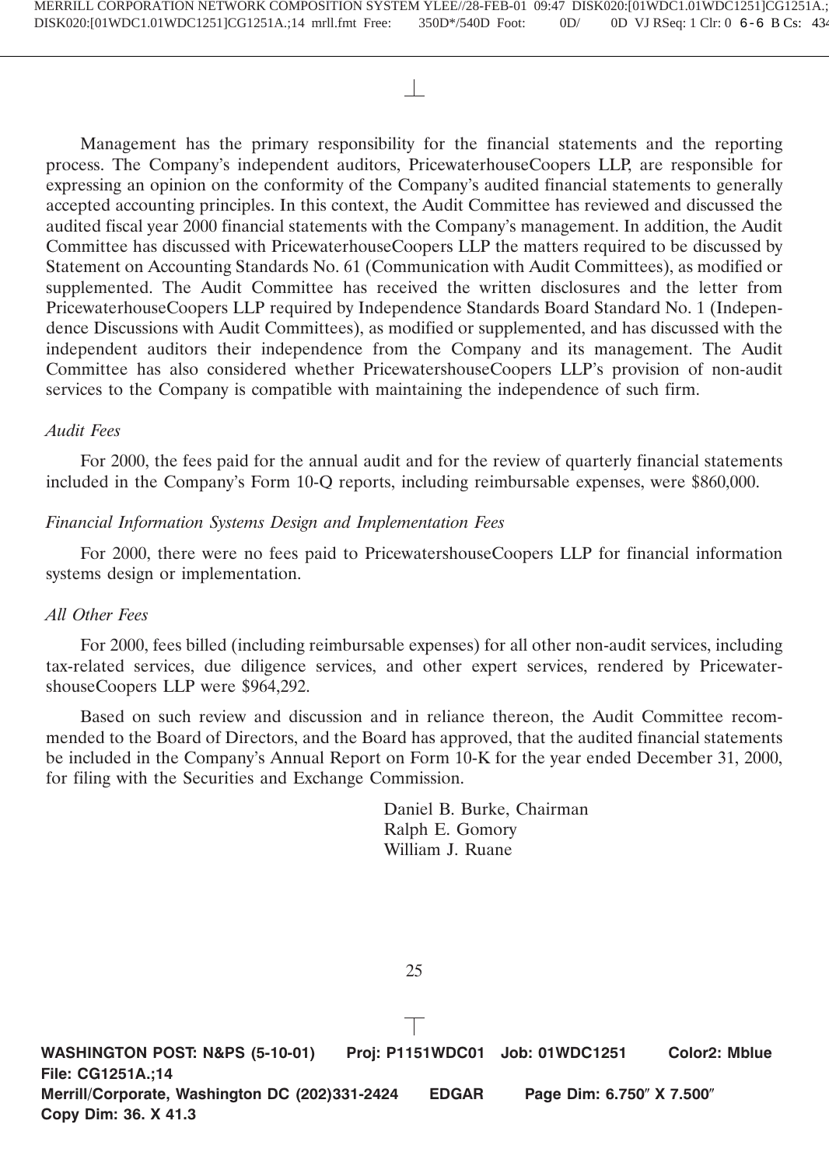Management has the primary responsibility for the financial statements and the reporting process. The Company's independent auditors, PricewaterhouseCoopers LLP, are responsible for expressing an opinion on the conformity of the Company's audited financial statements to generally accepted accounting principles. In this context, the Audit Committee has reviewed and discussed the audited fiscal year 2000 financial statements with the Company's management. In addition, the Audit Committee has discussed with PricewaterhouseCoopers LLP the matters required to be discussed by Statement on Accounting Standards No. 61 (Communication with Audit Committees), as modified or supplemented. The Audit Committee has received the written disclosures and the letter from PricewaterhouseCoopers LLP required by Independence Standards Board Standard No. 1 (Independence Discussions with Audit Committees), as modified or supplemented, and has discussed with the independent auditors their independence from the Company and its management. The Audit Committee has also considered whether PricewatershouseCoopers LLP's provision of non-audit services to the Company is compatible with maintaining the independence of such firm.

# *Audit Fees*

For 2000, the fees paid for the annual audit and for the review of quarterly financial statements included in the Company's Form 10-Q reports, including reimbursable expenses, were \$860,000.

# *Financial Information Systems Design and Implementation Fees*

For 2000, there were no fees paid to PricewatershouseCoopers LLP for financial information systems design or implementation.

# *All Other Fees*

For 2000, fees billed (including reimbursable expenses) for all other non-audit services, including tax-related services, due diligence services, and other expert services, rendered by PricewatershouseCoopers LLP were \$964,292.

Based on such review and discussion and in reliance thereon, the Audit Committee recommended to the Board of Directors, and the Board has approved, that the audited financial statements be included in the Company's Annual Report on Form 10-K for the year ended December 31, 2000, for filing with the Securities and Exchange Commission.

> Daniel B. Burke, Chairman Ralph E. Gomory William J. Ruane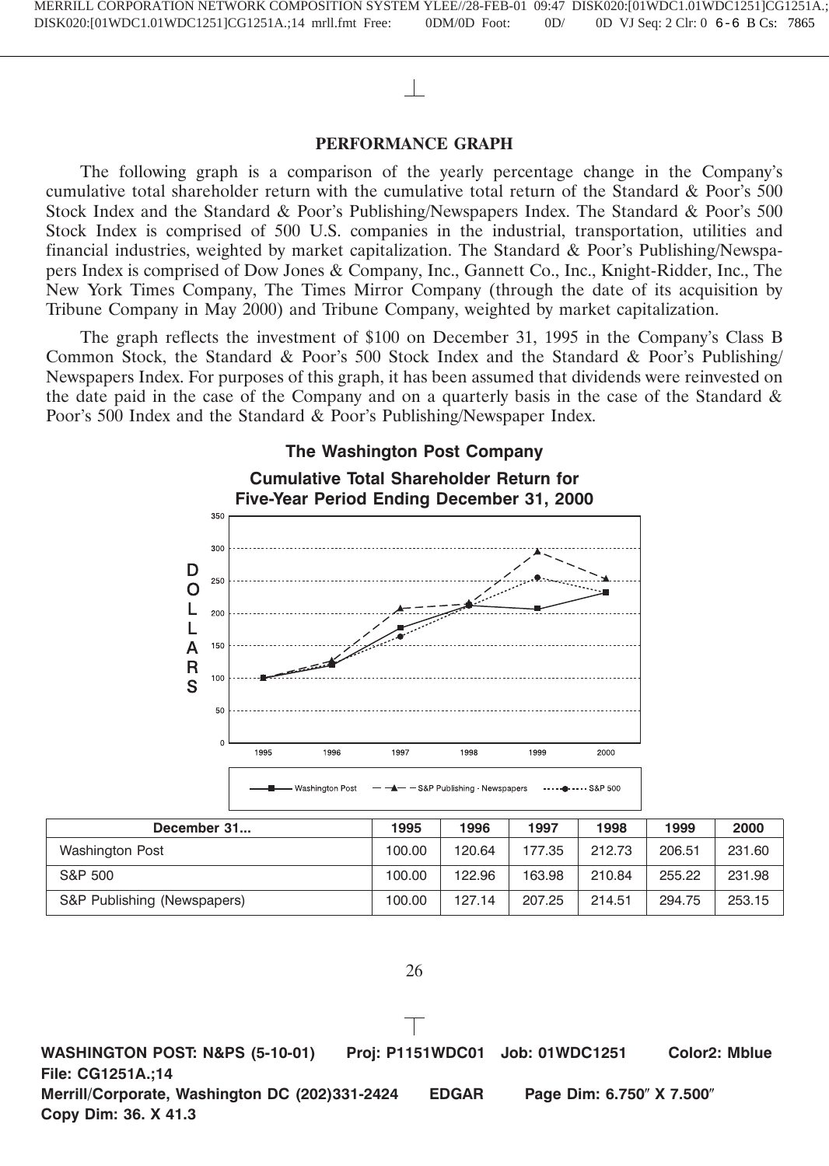# **PERFORMANCE GRAPH**

The following graph is a comparison of the yearly percentage change in the Company's cumulative total shareholder return with the cumulative total return of the Standard & Poor's 500 Stock Index and the Standard & Poor's Publishing/Newspapers Index. The Standard & Poor's 500 Stock Index is comprised of 500 U.S. companies in the industrial, transportation, utilities and financial industries, weighted by market capitalization. The Standard & Poor's Publishing/Newspapers Index is comprised of Dow Jones & Company, Inc., Gannett Co., Inc., Knight-Ridder, Inc., The New York Times Company, The Times Mirror Company (through the date of its acquisition by Tribune Company in May 2000) and Tribune Company, weighted by market capitalization.

The graph reflects the investment of \$100 on December 31, 1995 in the Company's Class B Common Stock, the Standard & Poor's 500 Stock Index and the Standard & Poor's Publishing/ Newspapers Index. For purposes of this graph, it has been assumed that dividends were reinvested on the date paid in the case of the Company and on a quarterly basis in the case of the Standard  $\&$ Poor's 500 Index and the Standard & Poor's Publishing/Newspaper Index.



| December 31                 | 1995   | 1996   | 1997   | 1998   | 1999   | 2000   |
|-----------------------------|--------|--------|--------|--------|--------|--------|
| <b>Washington Post</b>      | 100.00 | 120.64 | 177.35 | 212.73 | 206.51 | 231.60 |
| S&P 500                     | 100.00 | 122.96 | 163.98 | 210.84 | 255.22 | 231.98 |
| S&P Publishing (Newspapers) | 100.00 | 127.14 | 207.25 | 214.51 | 294.75 | 253.15 |

26

**WASHINGTON POST: N&PS (5-10-01) Proj: P1151WDC01 Job: 01WDC1251 Color2: Mblue File: CG1251A.;14 Merrill/Corporate, Washington DC (202)331-2424 EDGAR Page Dim: 6.750" X 7.500" Copy Dim: 36. X 41.3**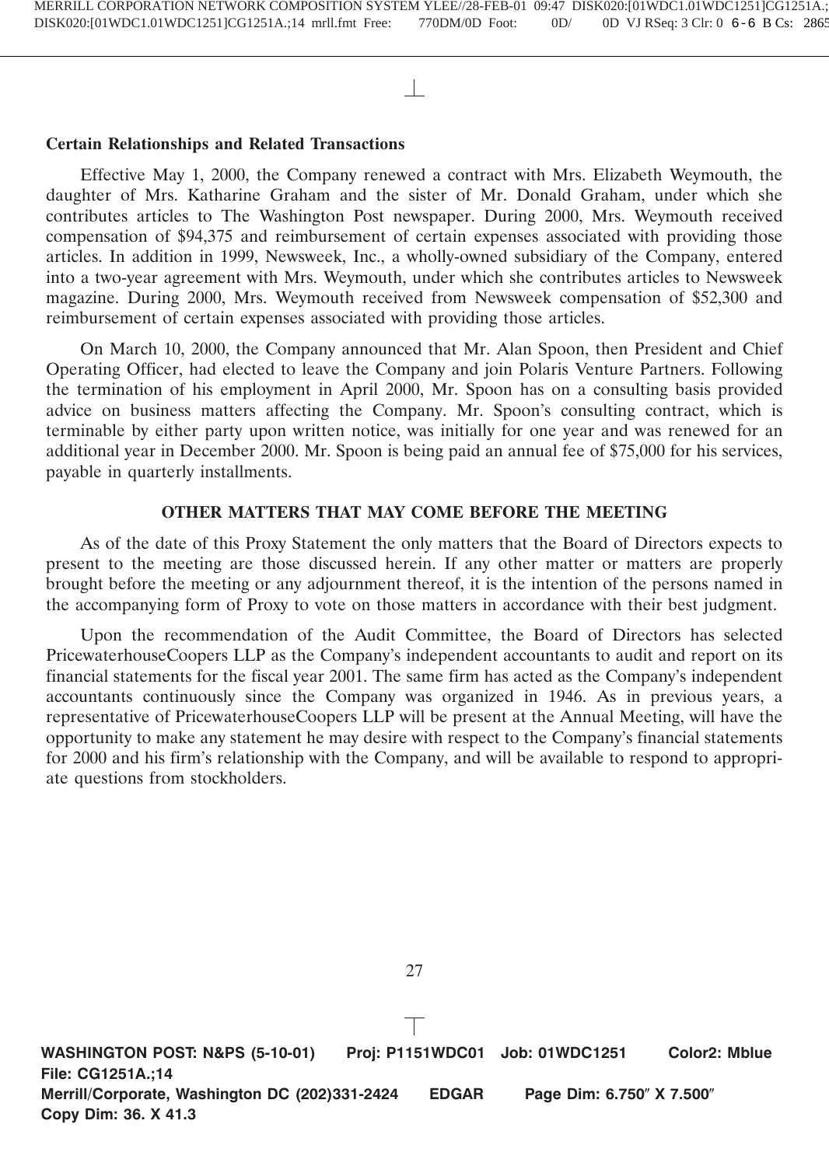# **Certain Relationships and Related Transactions**

Effective May 1, 2000, the Company renewed a contract with Mrs. Elizabeth Weymouth, the daughter of Mrs. Katharine Graham and the sister of Mr. Donald Graham, under which she contributes articles to The Washington Post newspaper. During 2000, Mrs. Weymouth received compensation of \$94,375 and reimbursement of certain expenses associated with providing those articles. In addition in 1999, Newsweek, Inc., a wholly-owned subsidiary of the Company, entered into a two-year agreement with Mrs. Weymouth, under which she contributes articles to Newsweek magazine. During 2000, Mrs. Weymouth received from Newsweek compensation of \$52,300 and reimbursement of certain expenses associated with providing those articles.

On March 10, 2000, the Company announced that Mr. Alan Spoon, then President and Chief Operating Officer, had elected to leave the Company and join Polaris Venture Partners. Following the termination of his employment in April 2000, Mr. Spoon has on a consulting basis provided advice on business matters affecting the Company. Mr. Spoon's consulting contract, which is terminable by either party upon written notice, was initially for one year and was renewed for an additional year in December 2000. Mr. Spoon is being paid an annual fee of \$75,000 for his services, payable in quarterly installments.

# **OTHER MATTERS THAT MAY COME BEFORE THE MEETING**

As of the date of this Proxy Statement the only matters that the Board of Directors expects to present to the meeting are those discussed herein. If any other matter or matters are properly brought before the meeting or any adjournment thereof, it is the intention of the persons named in the accompanying form of Proxy to vote on those matters in accordance with their best judgment.

Upon the recommendation of the Audit Committee, the Board of Directors has selected PricewaterhouseCoopers LLP as the Company's independent accountants to audit and report on its financial statements for the fiscal year 2001. The same firm has acted as the Company's independent accountants continuously since the Company was organized in 1946. As in previous years, a representative of PricewaterhouseCoopers LLP will be present at the Annual Meeting, will have the opportunity to make any statement he may desire with respect to the Company's financial statements for 2000 and his firm's relationship with the Company, and will be available to respond to appropriate questions from stockholders.

**WASHINGTON POST: N&PS (5-10-01) Proj: P1151WDC01 Job: 01WDC1251 Color2: Mblue File: CG1251A.;14 Merrill/Corporate, Washington DC (202)331-2424 EDGAR Page Dim: 6.750" X 7.500" Copy Dim: 36. X 41.3**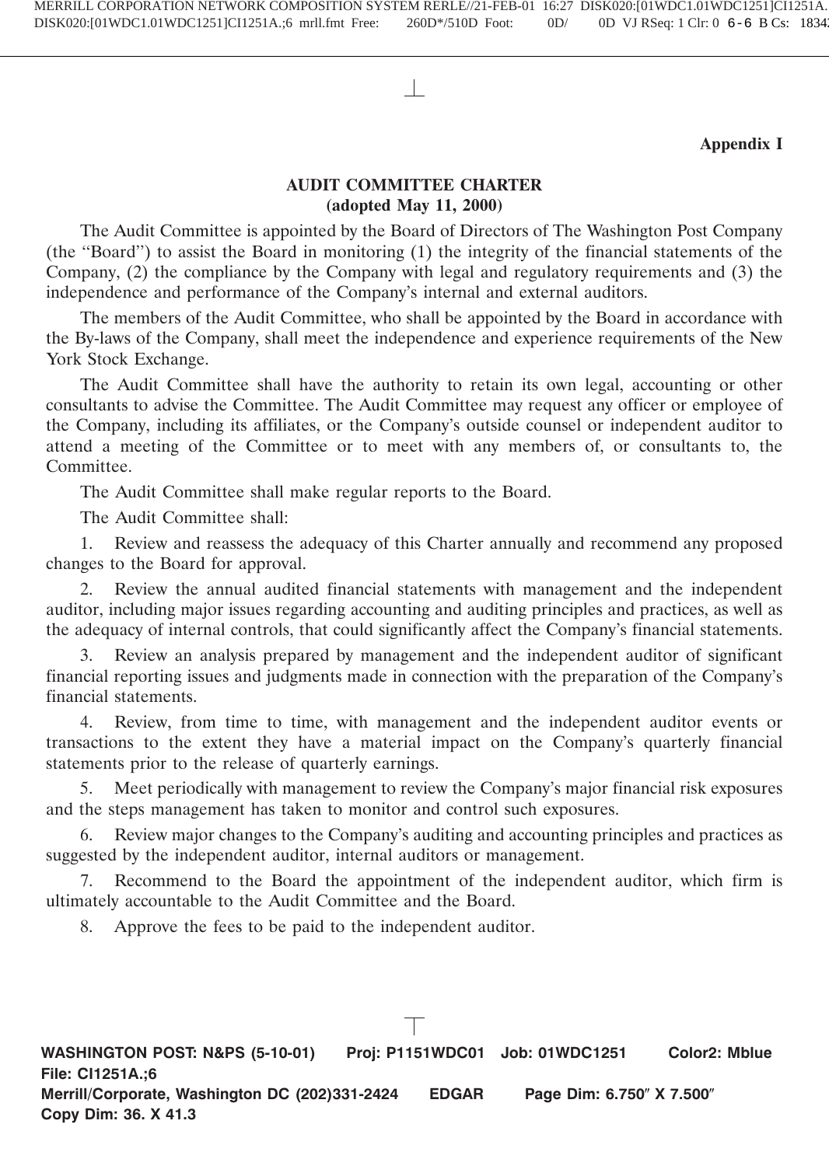# **Appendix I**

# **AUDIT COMMITTEE CHARTER (adopted May 11, 2000)**

The Audit Committee is appointed by the Board of Directors of The Washington Post Company (the ''Board'') to assist the Board in monitoring (1) the integrity of the financial statements of the Company, (2) the compliance by the Company with legal and regulatory requirements and (3) the independence and performance of the Company's internal and external auditors.

The members of the Audit Committee, who shall be appointed by the Board in accordance with the By-laws of the Company, shall meet the independence and experience requirements of the New York Stock Exchange.

The Audit Committee shall have the authority to retain its own legal, accounting or other consultants to advise the Committee. The Audit Committee may request any officer or employee of the Company, including its affiliates, or the Company's outside counsel or independent auditor to attend a meeting of the Committee or to meet with any members of, or consultants to, the Committee.

The Audit Committee shall make regular reports to the Board.

The Audit Committee shall:

1. Review and reassess the adequacy of this Charter annually and recommend any proposed changes to the Board for approval.

2. Review the annual audited financial statements with management and the independent auditor, including major issues regarding accounting and auditing principles and practices, as well as the adequacy of internal controls, that could significantly affect the Company's financial statements.

3. Review an analysis prepared by management and the independent auditor of significant financial reporting issues and judgments made in connection with the preparation of the Company's financial statements.

4. Review, from time to time, with management and the independent auditor events or transactions to the extent they have a material impact on the Company's quarterly financial statements prior to the release of quarterly earnings.

5. Meet periodically with management to review the Company's major financial risk exposures and the steps management has taken to monitor and control such exposures.

6. Review major changes to the Company's auditing and accounting principles and practices as suggested by the independent auditor, internal auditors or management.

7. Recommend to the Board the appointment of the independent auditor, which firm is ultimately accountable to the Audit Committee and the Board.

8. Approve the fees to be paid to the independent auditor.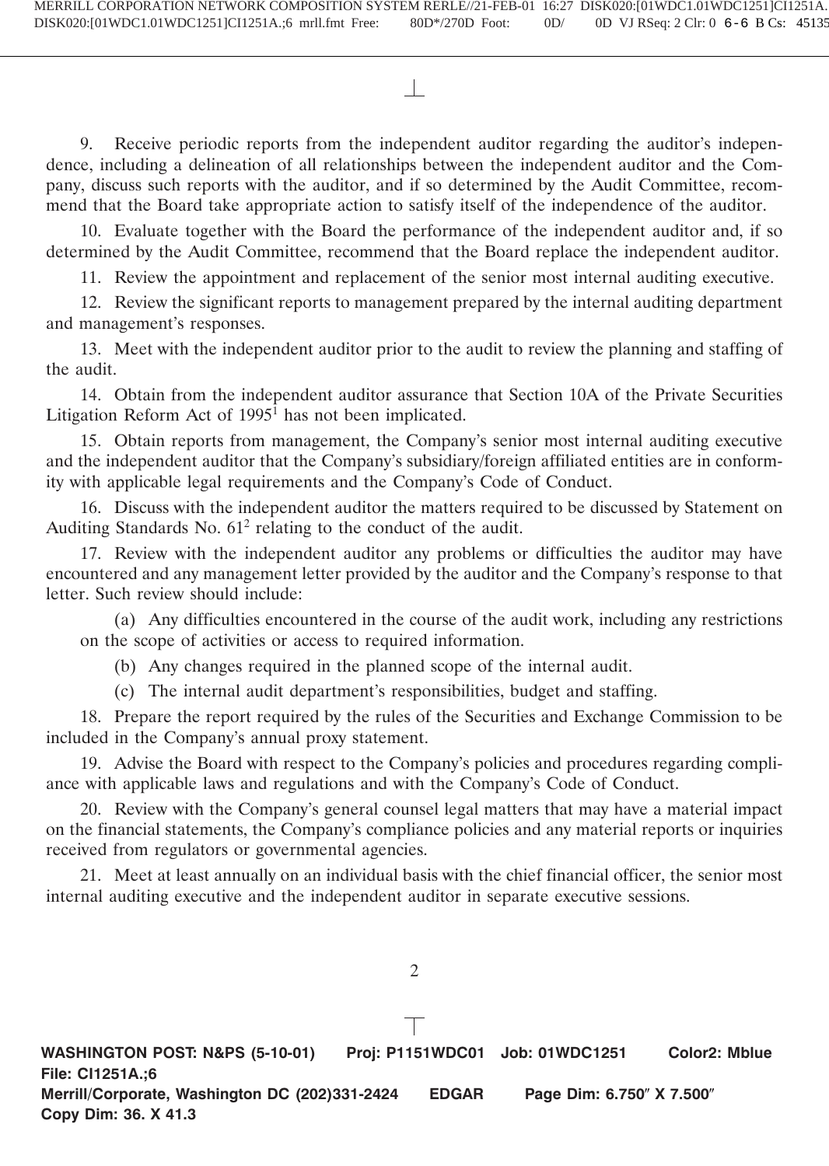9. Receive periodic reports from the independent auditor regarding the auditor's independence, including a delineation of all relationships between the independent auditor and the Company, discuss such reports with the auditor, and if so determined by the Audit Committee, recommend that the Board take appropriate action to satisfy itself of the independence of the auditor.

10. Evaluate together with the Board the performance of the independent auditor and, if so determined by the Audit Committee, recommend that the Board replace the independent auditor.

11. Review the appointment and replacement of the senior most internal auditing executive.

12. Review the significant reports to management prepared by the internal auditing department and management's responses.

13. Meet with the independent auditor prior to the audit to review the planning and staffing of the audit.

14. Obtain from the independent auditor assurance that Section 10A of the Private Securities Litigation Reform Act of 1995<sup>1</sup> has not been implicated.

15. Obtain reports from management, the Company's senior most internal auditing executive and the independent auditor that the Company's subsidiary/foreign affiliated entities are in conformity with applicable legal requirements and the Company's Code of Conduct.

16. Discuss with the independent auditor the matters required to be discussed by Statement on Auditing Standards No.  $61<sup>2</sup>$  relating to the conduct of the audit.

17. Review with the independent auditor any problems or difficulties the auditor may have encountered and any management letter provided by the auditor and the Company's response to that letter. Such review should include:

(a) Any difficulties encountered in the course of the audit work, including any restrictions on the scope of activities or access to required information.

(b) Any changes required in the planned scope of the internal audit.

(c) The internal audit department's responsibilities, budget and staffing.

18. Prepare the report required by the rules of the Securities and Exchange Commission to be included in the Company's annual proxy statement.

19. Advise the Board with respect to the Company's policies and procedures regarding compliance with applicable laws and regulations and with the Company's Code of Conduct.

20. Review with the Company's general counsel legal matters that may have a material impact on the financial statements, the Company's compliance policies and any material reports or inquiries received from regulators or governmental agencies.

21. Meet at least annually on an individual basis with the chief financial officer, the senior most internal auditing executive and the independent auditor in separate executive sessions.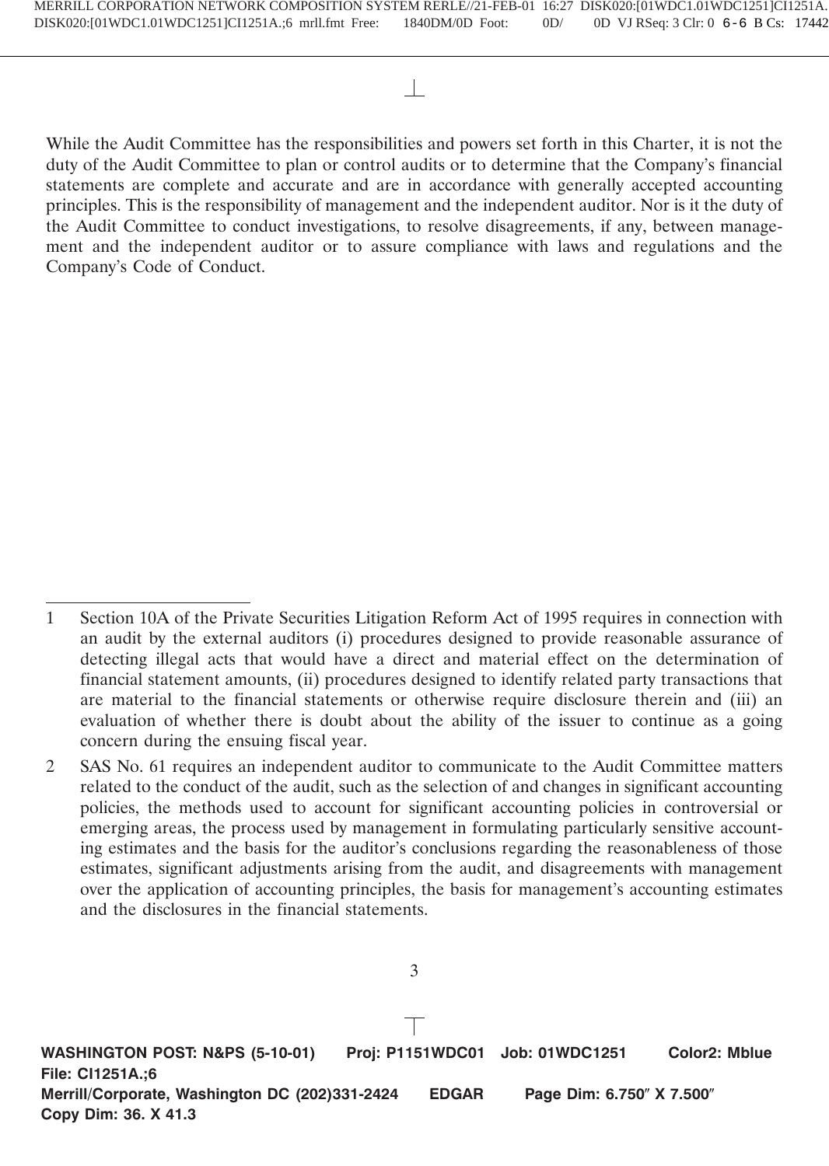While the Audit Committee has the responsibilities and powers set forth in this Charter, it is not the duty of the Audit Committee to plan or control audits or to determine that the Company's financial statements are complete and accurate and are in accordance with generally accepted accounting principles. This is the responsibility of management and the independent auditor. Nor is it the duty of the Audit Committee to conduct investigations, to resolve disagreements, if any, between management and the independent auditor or to assure compliance with laws and regulations and the Company's Code of Conduct.

3

**WASHINGTON POST: N&PS (5-10-01) Proj: P1151WDC01 Job: 01WDC1251 Color2: Mblue File: CI1251A.;6 Merrill/Corporate, Washington DC (202)331-2424 EDGAR Page Dim: 6.750" X 7.500" Copy Dim: 36. X 41.3**

<sup>1</sup> Section 10A of the Private Securities Litigation Reform Act of 1995 requires in connection with an audit by the external auditors (i) procedures designed to provide reasonable assurance of detecting illegal acts that would have a direct and material effect on the determination of financial statement amounts, (ii) procedures designed to identify related party transactions that are material to the financial statements or otherwise require disclosure therein and (iii) an evaluation of whether there is doubt about the ability of the issuer to continue as a going concern during the ensuing fiscal year.

<sup>2</sup> SAS No. 61 requires an independent auditor to communicate to the Audit Committee matters related to the conduct of the audit, such as the selection of and changes in significant accounting policies, the methods used to account for significant accounting policies in controversial or emerging areas, the process used by management in formulating particularly sensitive accounting estimates and the basis for the auditor's conclusions regarding the reasonableness of those estimates, significant adjustments arising from the audit, and disagreements with management over the application of accounting principles, the basis for management's accounting estimates and the disclosures in the financial statements.